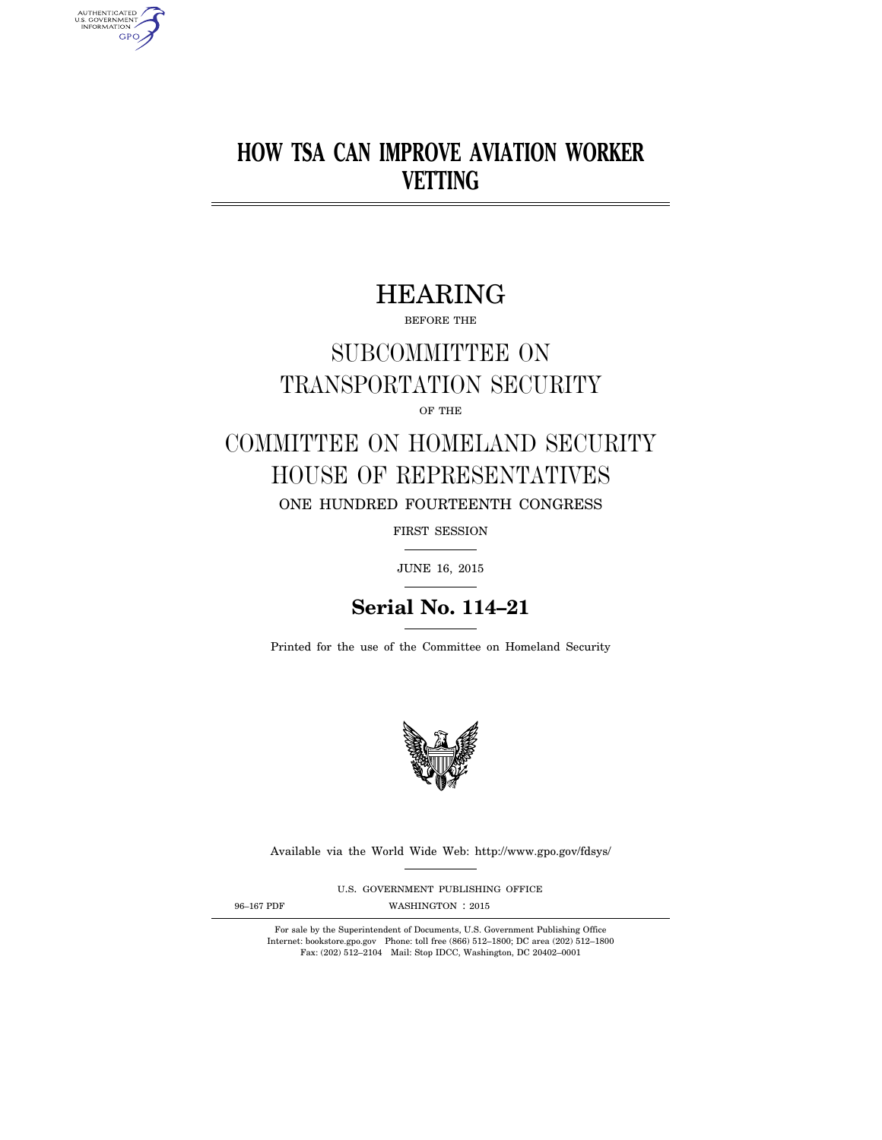# **HOW TSA CAN IMPROVE AVIATION WORKER VETTING**

# HEARING

BEFORE THE

# SUBCOMMITTEE ON TRANSPORTATION SECURITY

OF THE

# COMMITTEE ON HOMELAND SECURITY HOUSE OF REPRESENTATIVES ONE HUNDRED FOURTEENTH CONGRESS

FIRST SESSION

JUNE 16, 2015

## **Serial No. 114–21**

Printed for the use of the Committee on Homeland Security



Available via the World Wide Web: http://www.gpo.gov/fdsys/

U.S. GOVERNMENT PUBLISHING OFFICE

AUTHENTICATED<br>U.S. GOVERNMENT<br>INFORMATION **GPO** 

96-167 PDF WASHINGTON : 2015

For sale by the Superintendent of Documents, U.S. Government Publishing Office Internet: bookstore.gpo.gov Phone: toll free (866) 512–1800; DC area (202) 512–1800 Fax: (202) 512–2104 Mail: Stop IDCC, Washington, DC 20402–0001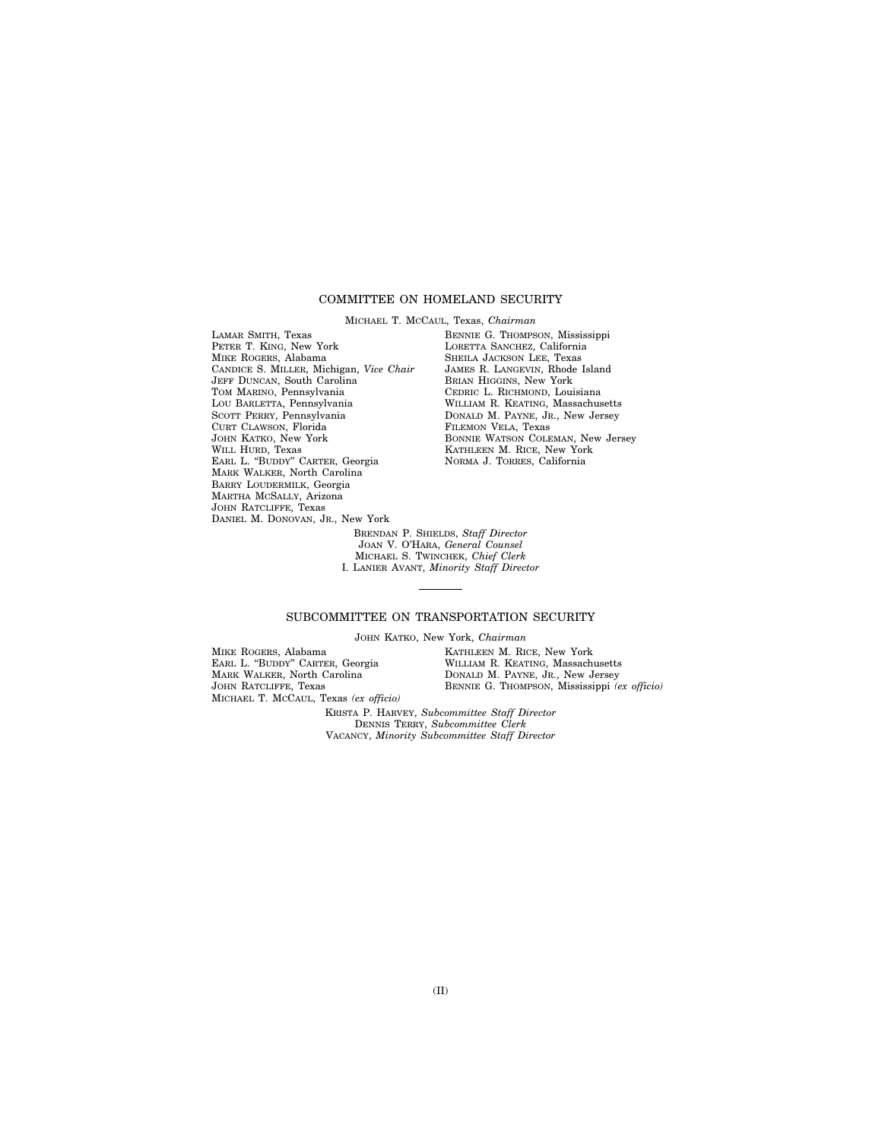## COMMITTEE ON HOMELAND SECURITY

MICHAEL T. MCCAUL, Texas, *Chairman* 

LAMAR SMITH, Texas PETER T. KING, New York MIKE ROGERS, Alabama CANDICE S. MILLER, Michigan, *Vice Chair*  JEFF DUNCAN, South Carolina TOM MARINO, Pennsylvania LOU BARLETTA, Pennsylvania SCOTT PERRY, Pennsylvania CURT CLAWSON, Florida JOHN KATKO, New York WILL HURD, Texas EARL L. ''BUDDY'' CARTER, Georgia MARK WALKER, North Carolina BARRY LOUDERMILK, Georgia MARTHA MCSALLY, Arizona JOHN RATCLIFFE, Texas DANIEL M. DONOVAN, JR., New York

BENNIE G. THOMPSON, Mississippi LORETTA SANCHEZ, California SHEILA JACKSON LEE, Texas JAMES R. LANGEVIN, Rhode Island BRIAN HIGGINS, New York CEDRIC L. RICHMOND, Louisiana WILLIAM R. KEATING, Massachusetts DONALD M. PAYNE, JR., New Jersey FILEMON VELA, Texas BONNIE WATSON COLEMAN, New Jersey KATHLEEN M. RICE, New York NORMA J. TORRES, California

BRENDAN P. SHIELDS, *Staff Director*  JOAN V. O'HARA, *General Counsel*  MICHAEL S. TWINCHEK, *Chief Clerk*  I. LANIER AVANT, *Minority Staff Director* 

### SUBCOMMITTEE ON TRANSPORTATION SECURITY

JOHN KATKO, New York, *Chairman* 

MIKE ROGERS, Alabama EARL L. ''BUDDY'' CARTER, Georgia MARK WALKER, North Carolina JOHN RATCLIFFE, Texas MICHAEL T. MCCAUL, Texas *(ex officio)*  KATHLEEN M. RICE, New York WILLIAM R. KEATING, Massachusetts DONALD M. PAYNE, JR., New Jersey BENNIE G. THOMPSON, Mississippi *(ex officio)* 

KRISTA P. HARVEY, *Subcommittee Staff Director*  DENNIS TERRY, *Subcommittee Clerk*  VACANCY, *Minority Subcommittee Staff Director*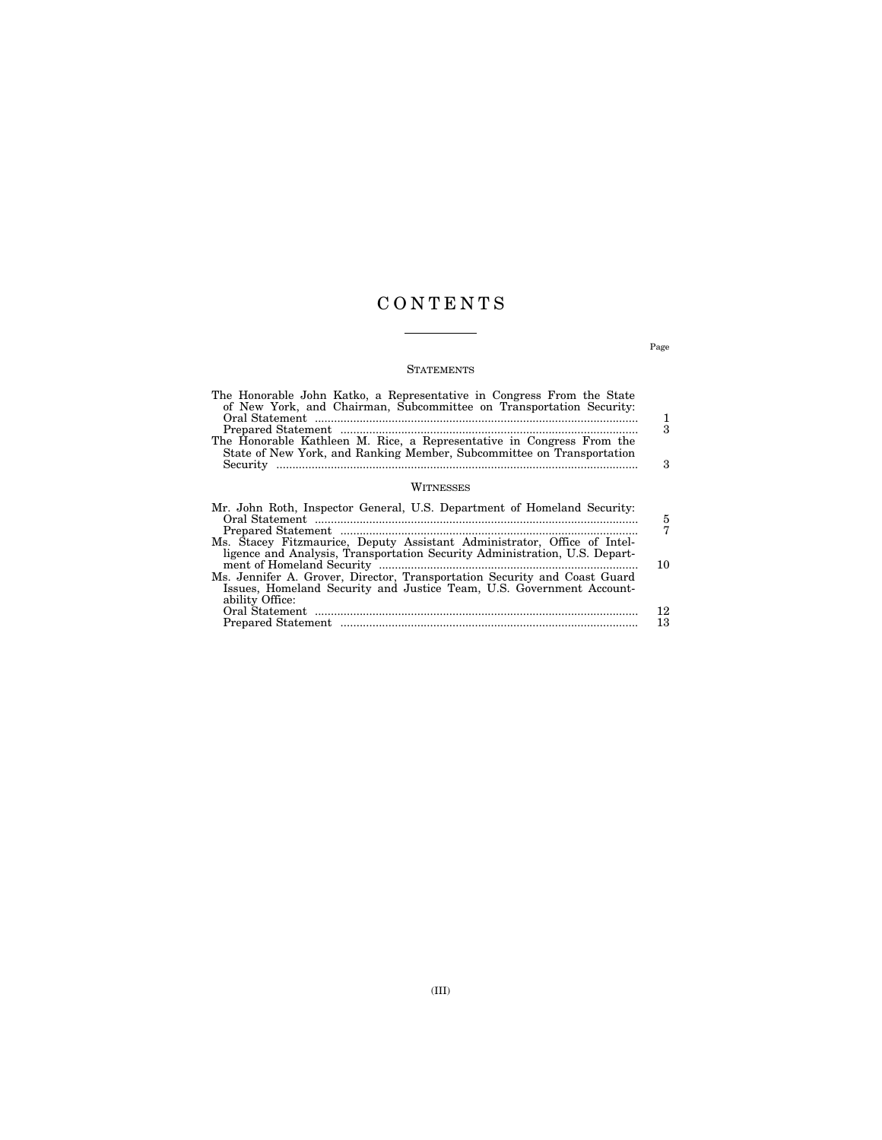## C O N T E N T S

## **STATEMENTS**

| The Honorable John Katko, a Representative in Congress From the State<br>of New York, and Chairman, Subcommittee on Transportation Security:<br>The Honorable Kathleen M. Rice, a Representative in Congress From the<br>State of New York, and Ranking Member, Subcommittee on Transportation | 1<br>З<br>3   |
|------------------------------------------------------------------------------------------------------------------------------------------------------------------------------------------------------------------------------------------------------------------------------------------------|---------------|
| WITNESSES                                                                                                                                                                                                                                                                                      |               |
| Mr. John Roth, Inspector General, U.S. Department of Homeland Security:<br>Ms. Stacey Fitzmaurice, Deputy Assistant Administrator, Office of Intel-                                                                                                                                            | $\frac{5}{7}$ |
| ligence and Analysis, Transportation Security Administration, U.S. Depart-<br>Ms. Jennifer A. Grover, Director, Transportation Security and Coast Guard<br>Issues, Homeland Security and Justice Team, U.S. Government Account-                                                                | 10            |
| ability Office:                                                                                                                                                                                                                                                                                | 12<br>13      |

Page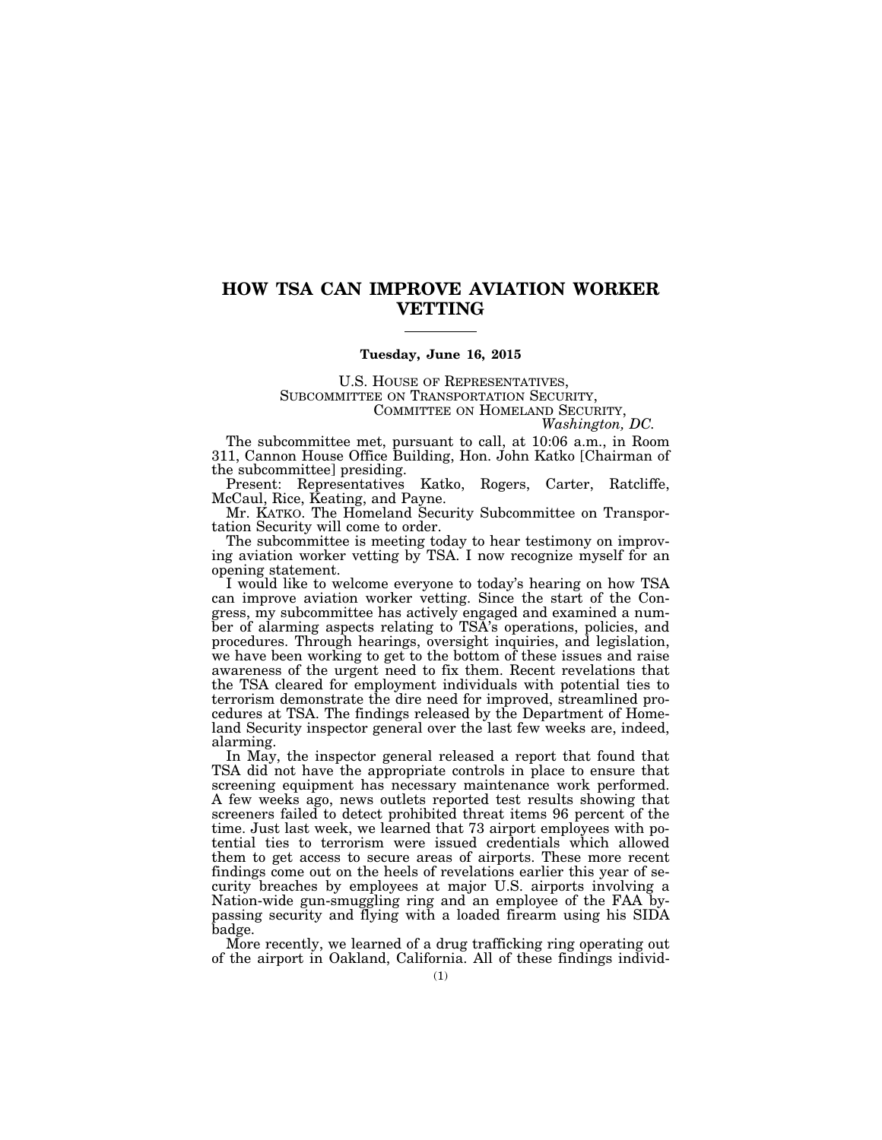## **HOW TSA CAN IMPROVE AVIATION WORKER VETTING**

### **Tuesday, June 16, 2015**

U.S. HOUSE OF REPRESENTATIVES, SUBCOMMITTEE ON TRANSPORTATION SECURITY, COMMITTEE ON HOMELAND SECURITY, *Washington, DC.* 

The subcommittee met, pursuant to call, at 10:06 a.m., in Room 311, Cannon House Office Building, Hon. John Katko [Chairman of the subcommittee] presiding.

Present: Representatives Katko, Rogers, Carter, Ratcliffe, McCaul, Rice, Keating, and Payne.

Mr. KATKO. The Homeland Security Subcommittee on Transportation Security will come to order.

The subcommittee is meeting today to hear testimony on improving aviation worker vetting by TSA. I now recognize myself for an opening statement.

I would like to welcome everyone to today's hearing on how TSA can improve aviation worker vetting. Since the start of the Congress, my subcommittee has actively engaged and examined a number of alarming aspects relating to TSA's operations, policies, and procedures. Through hearings, oversight inquiries, and legislation, we have been working to get to the bottom of these issues and raise awareness of the urgent need to fix them. Recent revelations that the TSA cleared for employment individuals with potential ties to terrorism demonstrate the dire need for improved, streamlined procedures at TSA. The findings released by the Department of Homeland Security inspector general over the last few weeks are, indeed, alarming.

In May, the inspector general released a report that found that TSA did not have the appropriate controls in place to ensure that screening equipment has necessary maintenance work performed. A few weeks ago, news outlets reported test results showing that screeners failed to detect prohibited threat items 96 percent of the time. Just last week, we learned that 73 airport employees with potential ties to terrorism were issued credentials which allowed them to get access to secure areas of airports. These more recent findings come out on the heels of revelations earlier this year of security breaches by employees at major U.S. airports involving a Nation-wide gun-smuggling ring and an employee of the FAA bypassing security and flying with a loaded firearm using his SIDA badge.

More recently, we learned of a drug trafficking ring operating out of the airport in Oakland, California. All of these findings individ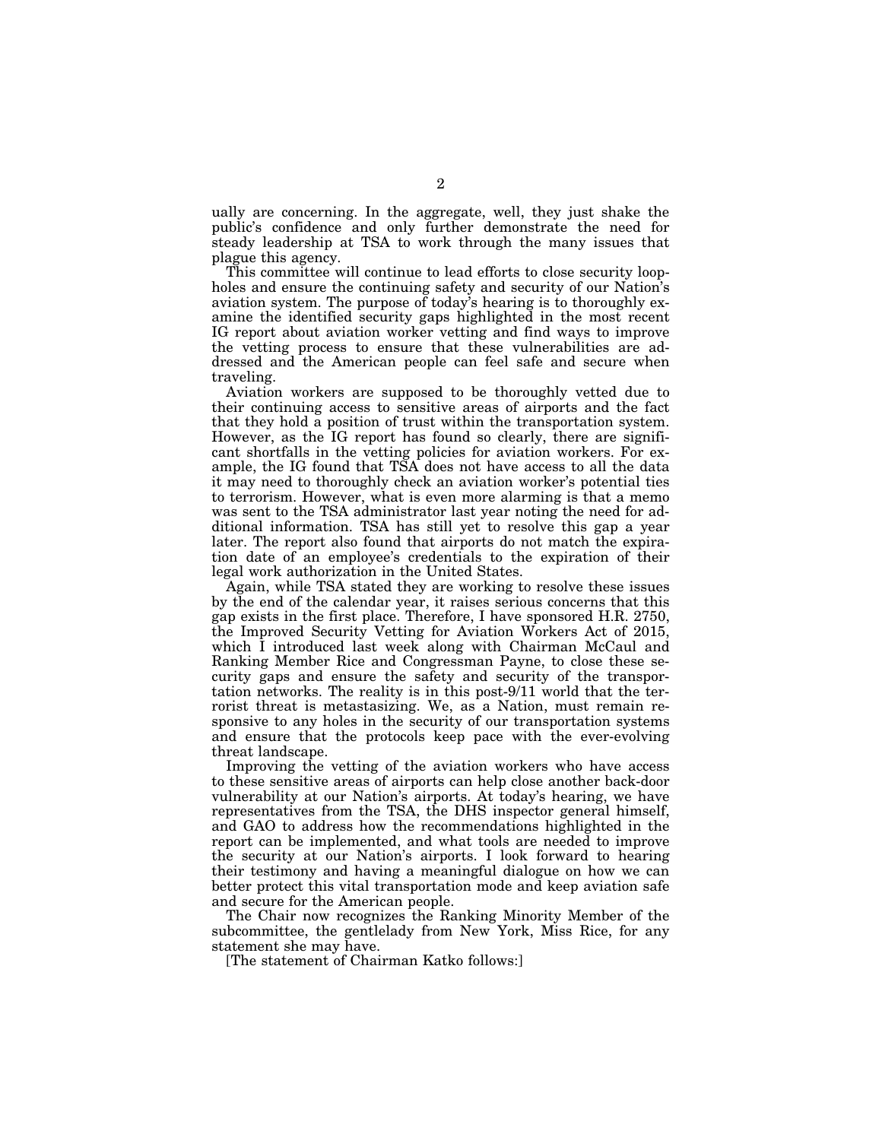ually are concerning. In the aggregate, well, they just shake the public's confidence and only further demonstrate the need for steady leadership at TSA to work through the many issues that plague this agency.

This committee will continue to lead efforts to close security loopholes and ensure the continuing safety and security of our Nation's aviation system. The purpose of today's hearing is to thoroughly examine the identified security gaps highlighted in the most recent IG report about aviation worker vetting and find ways to improve the vetting process to ensure that these vulnerabilities are addressed and the American people can feel safe and secure when traveling.

Aviation workers are supposed to be thoroughly vetted due to their continuing access to sensitive areas of airports and the fact that they hold a position of trust within the transportation system. However, as the IG report has found so clearly, there are significant shortfalls in the vetting policies for aviation workers. For example, the IG found that TSA does not have access to all the data it may need to thoroughly check an aviation worker's potential ties to terrorism. However, what is even more alarming is that a memo was sent to the TSA administrator last year noting the need for additional information. TSA has still yet to resolve this gap a year later. The report also found that airports do not match the expiration date of an employee's credentials to the expiration of their legal work authorization in the United States.

Again, while TSA stated they are working to resolve these issues by the end of the calendar year, it raises serious concerns that this gap exists in the first place. Therefore, I have sponsored H.R. 2750, the Improved Security Vetting for Aviation Workers Act of 2015, which I introduced last week along with Chairman McCaul and Ranking Member Rice and Congressman Payne, to close these security gaps and ensure the safety and security of the transportation networks. The reality is in this post-9/11 world that the terrorist threat is metastasizing. We, as a Nation, must remain responsive to any holes in the security of our transportation systems and ensure that the protocols keep pace with the ever-evolving threat landscape.

Improving the vetting of the aviation workers who have access to these sensitive areas of airports can help close another back-door vulnerability at our Nation's airports. At today's hearing, we have representatives from the TSA, the DHS inspector general himself, and GAO to address how the recommendations highlighted in the report can be implemented, and what tools are needed to improve the security at our Nation's airports. I look forward to hearing their testimony and having a meaningful dialogue on how we can better protect this vital transportation mode and keep aviation safe and secure for the American people.

The Chair now recognizes the Ranking Minority Member of the subcommittee, the gentlelady from New York, Miss Rice, for any statement she may have.

[The statement of Chairman Katko follows:]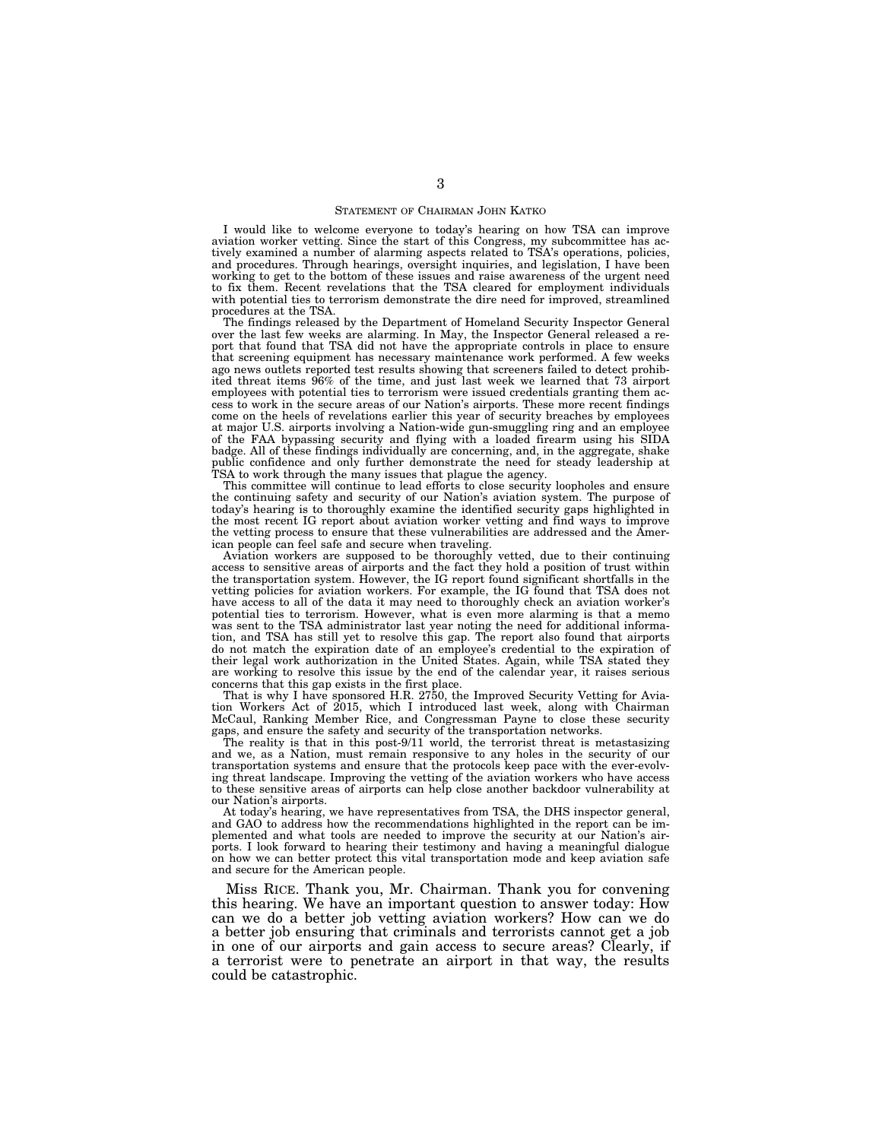#### STATEMENT OF CHAIRMAN JOHN KATKO

I would like to welcome everyone to today's hearing on how TSA can improve aviation worker vetting. Since the start of this Congress, my subcommittee has actively examined a number of alarming aspects related to TSA's operations, policies, and procedures. Through hearings, oversight inquiries, and legislation, I have been working to get to the bottom of these issues and raise awareness of the urgent need to fix them. Recent revelations that the TSA cleared for employment individuals with potential ties to terrorism demonstrate the dire need for improved, streamlined procedures at the TSA.

The findings released by the Department of Homeland Security Inspector General over the last few weeks are alarming. In May, the Inspector General released a report that found that TSA did not have the appropriate controls in place to ensure that screening equipment has necessary maintenance work performed. A few weeks ago news outlets reported test results showing that screeners failed to detect prohibited threat items 96% of the time, and just last week we learned that 73 airport employees with potential ties to terrorism were issued credentials granting them access to work in the secure areas of our Nation's airports. These more recent findings come on the heels of revelations earlier this year of security breaches by employees at major U.S. airports involving a Nation-wide gun-smuggling ring and an employee of the FAA bypassing security and flying with a loaded firearm using his SIDA badge. All of these findings individually are concerning, and, in the aggregate, shake public confidence and only further demonstrate the need for steady leadership at TSA to work through the many issues that plague the agency.

This committee will continue to lead efforts to close security loopholes and ensure the continuing safety and security of our Nation's aviation system. The purpose of today's hearing is to thoroughly examine the identified security gaps highlighted in the most recent IG report about aviation worker vetting and find ways to improve the vetting process to ensure that these vulnerabilities are addressed and the American people can feel safe and secure when traveling.

Aviation workers are supposed to be thoroughly vetted, due to their continuing access to sensitive areas of airports and the fact they hold a position of trust within the transportation system. However, the IG report found significant shortfalls in the vetting policies for aviation workers. For example, the IG found that TSA does not have access to all of the data it may need to thoroughly check an aviation worker's potential ties to terrorism. However, what is even more alarming is that a memo was sent to the TSA administrator last year noting the need for additional information, and TSA has still yet to resolve this gap. The report also found that airports do not match the expiration date of an employee's credential to the expiration of their legal work authorization in the United States. Again, while TSA stated they are working to resolve this issue by the end of the calendar year, it raises serious concerns that this gap exists in the first place.

That is why I have sponsored H.R. 2750, the Improved Security Vetting for Aviation Workers Act of 2015, which I introduced last week, along with Chairman McCaul, Ranking Member Rice, and Congressman Payne to close these security gaps, and ensure the safety and security of the transportation networks.

The reality is that in this post-9/11 world, the terrorist threat is metastasizing and we, as a Nation, must remain responsive to any holes in the security of our transportation systems and ensure that the protocols keep pace with the ever-evolving threat landscape. Improving the vetting of the aviation workers who have access to these sensitive areas of airports can help close another backdoor vulnerability at our Nation's airports.

At today's hearing, we have representatives from TSA, the DHS inspector general, and GAO to address how the recommendations highlighted in the report can be implemented and what tools are needed to improve the security at our Nation's airports. I look forward to hearing their testimony and having a meaningful dialogue on how we can better protect this vital transportation mode and keep aviation safe and secure for the American people.

Miss RICE. Thank you, Mr. Chairman. Thank you for convening this hearing. We have an important question to answer today: How can we do a better job vetting aviation workers? How can we do a better job ensuring that criminals and terrorists cannot get a job in one of our airports and gain access to secure areas? Clearly, if a terrorist were to penetrate an airport in that way, the results could be catastrophic.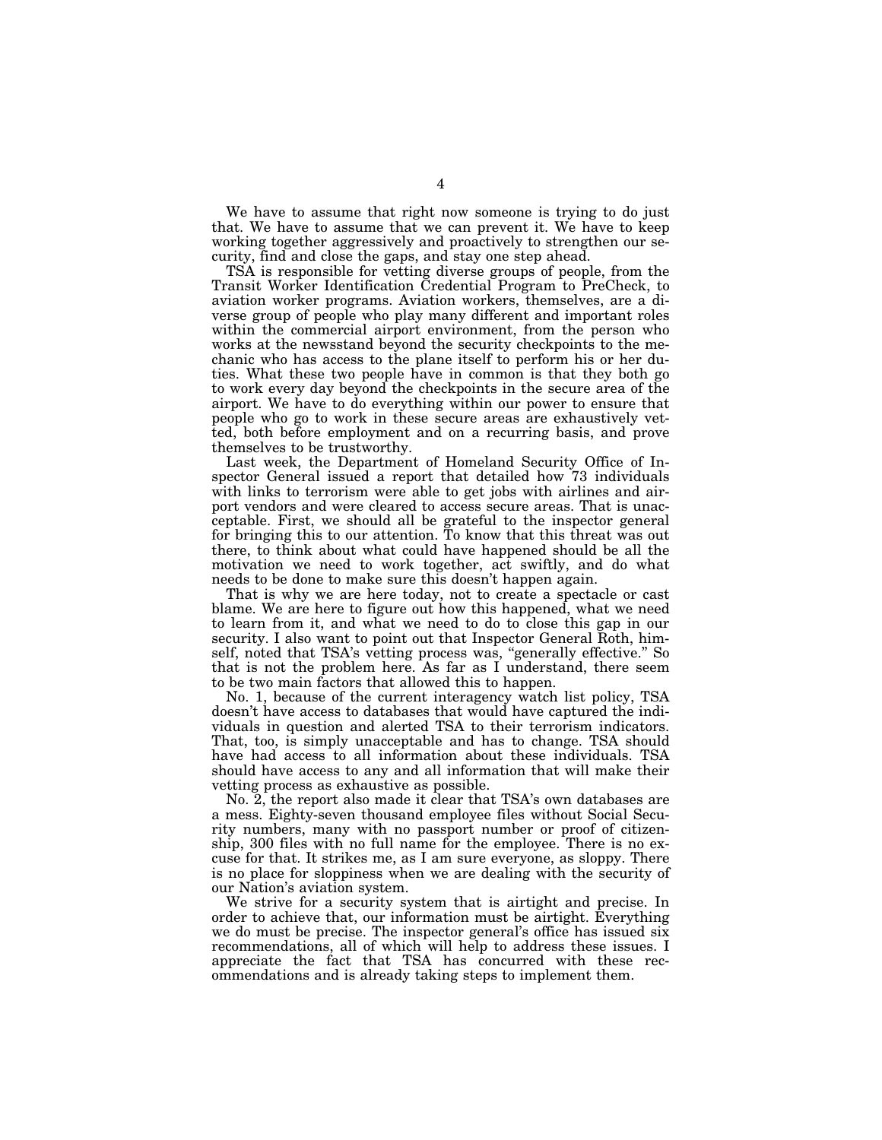We have to assume that right now someone is trying to do just that. We have to assume that we can prevent it. We have to keep working together aggressively and proactively to strengthen our security, find and close the gaps, and stay one step ahead.

TSA is responsible for vetting diverse groups of people, from the Transit Worker Identification Credential Program to PreCheck, to aviation worker programs. Aviation workers, themselves, are a diverse group of people who play many different and important roles within the commercial airport environment, from the person who works at the newsstand beyond the security checkpoints to the mechanic who has access to the plane itself to perform his or her duties. What these two people have in common is that they both go to work every day beyond the checkpoints in the secure area of the airport. We have to do everything within our power to ensure that people who go to work in these secure areas are exhaustively vetted, both before employment and on a recurring basis, and prove themselves to be trustworthy.

Last week, the Department of Homeland Security Office of Inspector General issued a report that detailed how 73 individuals with links to terrorism were able to get jobs with airlines and airport vendors and were cleared to access secure areas. That is unacceptable. First, we should all be grateful to the inspector general for bringing this to our attention. To know that this threat was out there, to think about what could have happened should be all the motivation we need to work together, act swiftly, and do what needs to be done to make sure this doesn't happen again.

That is why we are here today, not to create a spectacle or cast blame. We are here to figure out how this happened, what we need to learn from it, and what we need to do to close this gap in our security. I also want to point out that Inspector General Roth, himself, noted that TSA's vetting process was, "generally effective." So that is not the problem here. As far as I understand, there seem to be two main factors that allowed this to happen.

No. 1, because of the current interagency watch list policy, TSA doesn't have access to databases that would have captured the individuals in question and alerted TSA to their terrorism indicators. That, too, is simply unacceptable and has to change. TSA should have had access to all information about these individuals. TSA should have access to any and all information that will make their vetting process as exhaustive as possible.

No. 2, the report also made it clear that TSA's own databases are a mess. Eighty-seven thousand employee files without Social Security numbers, many with no passport number or proof of citizenship, 300 files with no full name for the employee. There is no excuse for that. It strikes me, as I am sure everyone, as sloppy. There is no place for sloppiness when we are dealing with the security of our Nation's aviation system.

We strive for a security system that is airtight and precise. In order to achieve that, our information must be airtight. Everything we do must be precise. The inspector general's office has issued six recommendations, all of which will help to address these issues. I appreciate the fact that TSA has concurred with these recommendations and is already taking steps to implement them.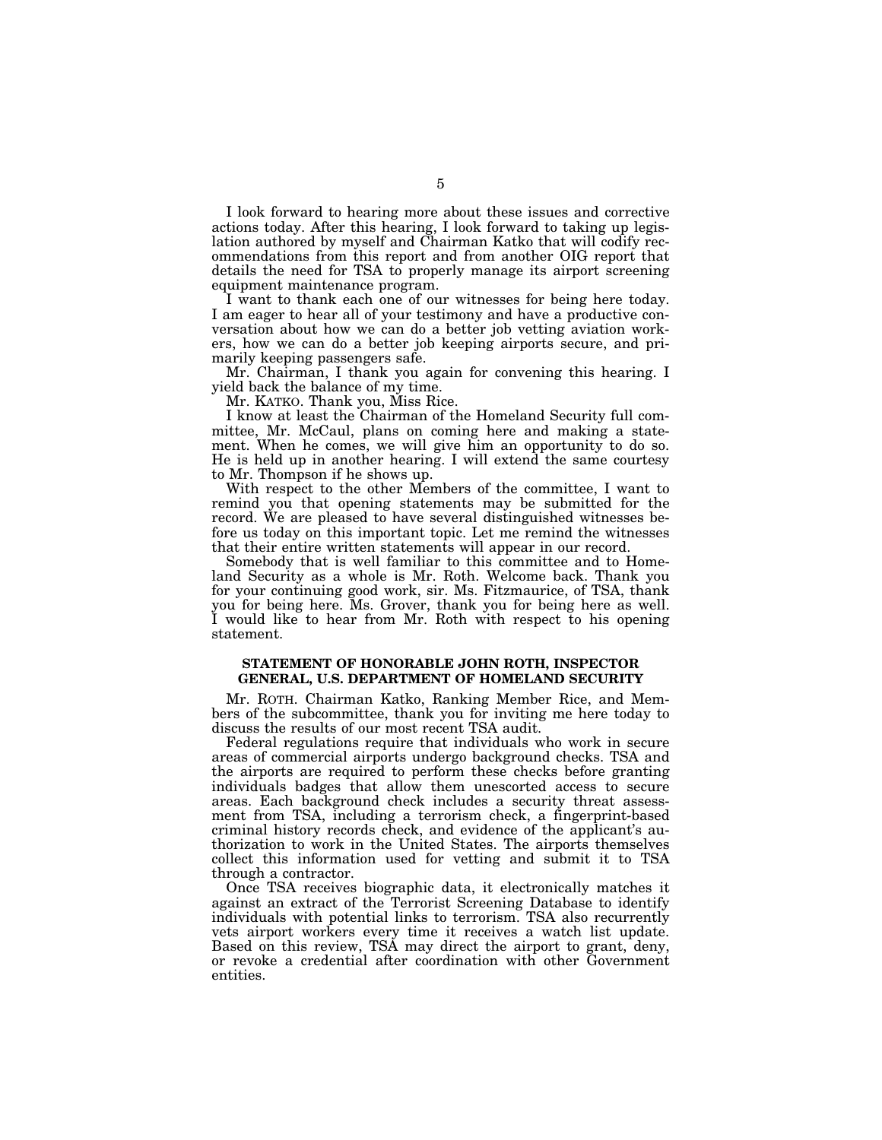I look forward to hearing more about these issues and corrective actions today. After this hearing, I look forward to taking up legislation authored by myself and Chairman Katko that will codify recommendations from this report and from another OIG report that details the need for TSA to properly manage its airport screening equipment maintenance program.

I want to thank each one of our witnesses for being here today. I am eager to hear all of your testimony and have a productive conversation about how we can do a better job vetting aviation workers, how we can do a better job keeping airports secure, and primarily keeping passengers safe.

Mr. Chairman, I thank you again for convening this hearing. I yield back the balance of my time.

Mr. KATKO. Thank you, Miss Rice.

I know at least the Chairman of the Homeland Security full committee, Mr. McCaul, plans on coming here and making a statement. When he comes, we will give him an opportunity to do so. He is held up in another hearing. I will extend the same courtesy to Mr. Thompson if he shows up.

With respect to the other Members of the committee, I want to remind you that opening statements may be submitted for the record. We are pleased to have several distinguished witnesses before us today on this important topic. Let me remind the witnesses that their entire written statements will appear in our record.

Somebody that is well familiar to this committee and to Homeland Security as a whole is Mr. Roth. Welcome back. Thank you for your continuing good work, sir. Ms. Fitzmaurice, of TSA, thank you for being here. Ms. Grover, thank you for being here as well. I would like to hear from Mr. Roth with respect to his opening statement.

## **STATEMENT OF HONORABLE JOHN ROTH, INSPECTOR GENERAL, U.S. DEPARTMENT OF HOMELAND SECURITY**

Mr. ROTH. Chairman Katko, Ranking Member Rice, and Members of the subcommittee, thank you for inviting me here today to discuss the results of our most recent TSA audit.

Federal regulations require that individuals who work in secure areas of commercial airports undergo background checks. TSA and the airports are required to perform these checks before granting individuals badges that allow them unescorted access to secure areas. Each background check includes a security threat assessment from TSA, including a terrorism check, a fingerprint-based criminal history records check, and evidence of the applicant's authorization to work in the United States. The airports themselves collect this information used for vetting and submit it to TSA through a contractor.

Once TSA receives biographic data, it electronically matches it against an extract of the Terrorist Screening Database to identify individuals with potential links to terrorism. TSA also recurrently vets airport workers every time it receives a watch list update. Based on this review, TSA may direct the airport to grant, deny, or revoke a credential after coordination with other Government entities.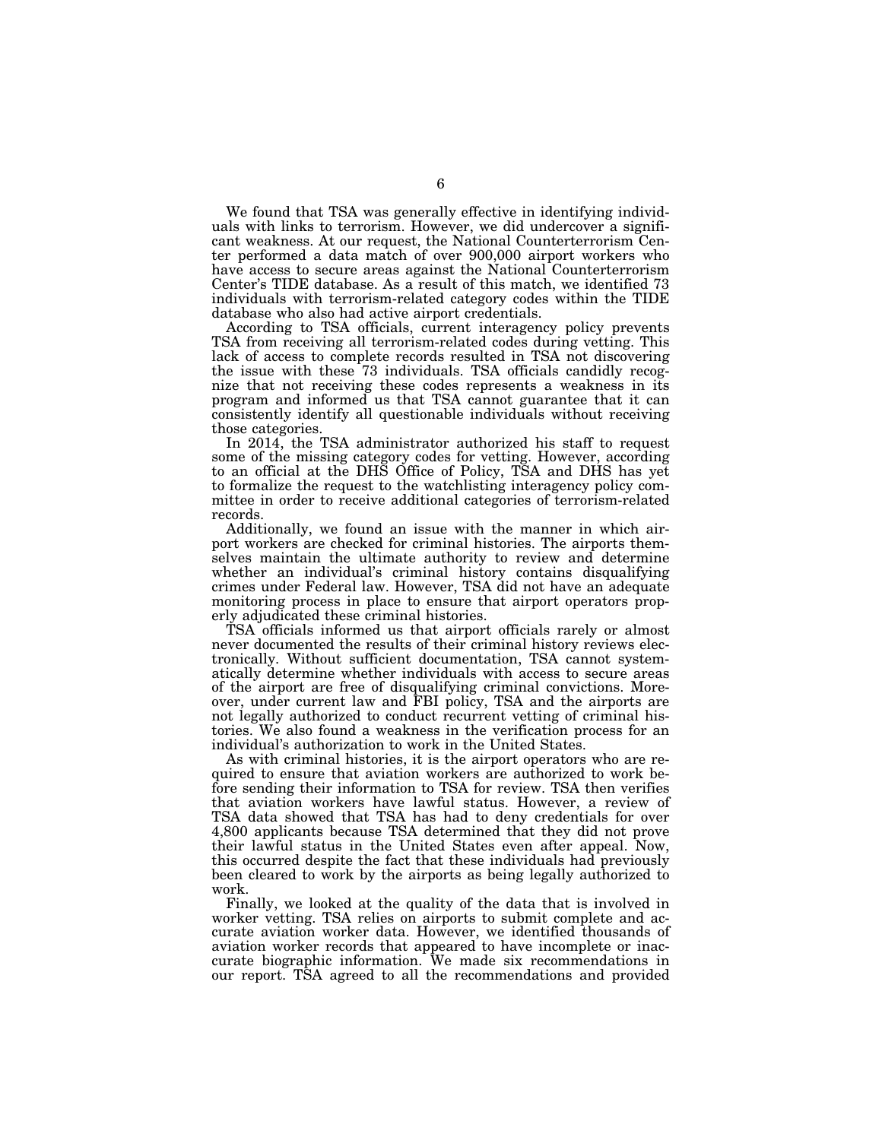We found that TSA was generally effective in identifying individuals with links to terrorism. However, we did undercover a significant weakness. At our request, the National Counterterrorism Center performed a data match of over 900,000 airport workers who have access to secure areas against the National Counterterrorism Center's TIDE database. As a result of this match, we identified 73 individuals with terrorism-related category codes within the TIDE database who also had active airport credentials.

According to TSA officials, current interagency policy prevents TSA from receiving all terrorism-related codes during vetting. This lack of access to complete records resulted in TSA not discovering the issue with these 73 individuals. TSA officials candidly recognize that not receiving these codes represents a weakness in its program and informed us that TSA cannot guarantee that it can consistently identify all questionable individuals without receiving those categories.

In 2014, the TSA administrator authorized his staff to request some of the missing category codes for vetting. However, according to an official at the DHS Office of Policy, TSA and DHS has yet to formalize the request to the watchlisting interagency policy committee in order to receive additional categories of terrorism-related records.

Additionally, we found an issue with the manner in which airport workers are checked for criminal histories. The airports themselves maintain the ultimate authority to review and determine whether an individual's criminal history contains disqualifying crimes under Federal law. However, TSA did not have an adequate monitoring process in place to ensure that airport operators properly adjudicated these criminal histories.

TSA officials informed us that airport officials rarely or almost never documented the results of their criminal history reviews electronically. Without sufficient documentation, TSA cannot systematically determine whether individuals with access to secure areas of the airport are free of disqualifying criminal convictions. Moreover, under current law and FBI policy, TSA and the airports are not legally authorized to conduct recurrent vetting of criminal histories. We also found a weakness in the verification process for an individual's authorization to work in the United States.

As with criminal histories, it is the airport operators who are required to ensure that aviation workers are authorized to work before sending their information to TSA for review. TSA then verifies that aviation workers have lawful status. However, a review of TSA data showed that TSA has had to deny credentials for over 4,800 applicants because TSA determined that they did not prove their lawful status in the United States even after appeal. Now, this occurred despite the fact that these individuals had previously been cleared to work by the airports as being legally authorized to work.

Finally, we looked at the quality of the data that is involved in worker vetting. TSA relies on airports to submit complete and accurate aviation worker data. However, we identified thousands of aviation worker records that appeared to have incomplete or inaccurate biographic information. We made six recommendations in our report. TSA agreed to all the recommendations and provided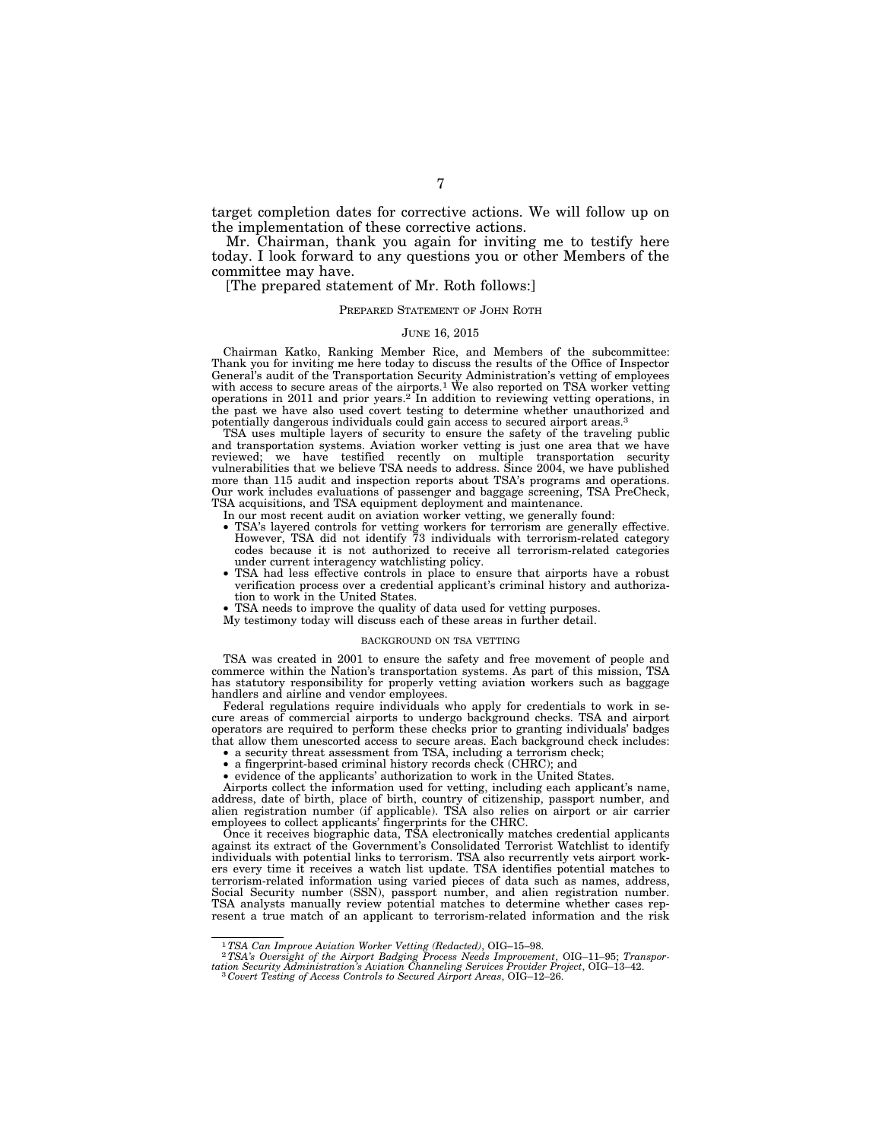target completion dates for corrective actions. We will follow up on the implementation of these corrective actions.

Mr. Chairman, thank you again for inviting me to testify here today. I look forward to any questions you or other Members of the committee may have.

[The prepared statement of Mr. Roth follows:]

#### PREPARED STATEMENT OF JOHN ROTH

#### JUNE 16, 2015

Chairman Katko, Ranking Member Rice, and Members of the subcommittee: Thank you for inviting me here today to discuss the results of the Office of Inspector General's audit of the Transportation Security Administration's vetting of employees with access to secure areas of the airports.<sup>1</sup> We also reported on TSA worker vetting operations in 2011 and prior years.<sup>2</sup> In addition to reviewing vetting operations, in the past we have also used covert testing to determine whether unauthorized and potentially dangerous individuals could gain access to secured airport areas.<sup>3</sup>

TSA uses multiple layers of security to ensure the safety of the traveling public and transportation systems. Aviation worker vetting is just one area that we have reviewed; we have testified recently on multiple transportation security vulnerabilities that we believe TSA needs to address. Since 2004, we have published more than 115 audit and inspection reports about TSA's programs and operations. Our work includes evaluations of passenger and baggage screening, TSA PreCheck, TSA acquisitions, and TSA equipment deployment and maintenance.

- In our most recent audit on aviation worker vetting, we generally found:
- TSA's layered controls for vetting workers for terrorism are generally effective. However, TSA did not identify 73 individuals with terrorism-related category codes because it is not authorized to receive all terrorism-related categories under current interagency watchlisting policy.
- TSA had less effective controls in place to ensure that airports have a robust verification process over a credential applicant's criminal history and authorization to work in the United States.
- TSA needs to improve the quality of data used for vetting purposes.
- My testimony today will discuss each of these areas in further detail.

#### BACKGROUND ON TSA VETTING

TSA was created in 2001 to ensure the safety and free movement of people and commerce within the Nation's transportation systems. As part of this mission, TSA has statutory responsibility for properly vetting aviation workers such as baggage handlers and airline and vendor employees.

Federal regulations require individuals who apply for credentials to work in secure areas of commercial airports to undergo background checks. TSA and airport operators are required to perform these checks prior to granting individuals' badges that allow them unescorted access to secure areas. Each background check includes:

- a security threat assessment from TSA, including a terrorism check;
- a fingerprint-based criminal history records check (CHRC); and
- evidence of the applicants' authorization to work in the United States.

Airports collect the information used for vetting, including each applicant's name, address, date of birth, place of birth, country of citizenship, passport number, and alien registration number (if applicable). TSA also relies on airport or air carrier employees to collect applicants' fingerprints for the CHRC.

Once it receives biographic data, TSA electronically matches credential applicants against its extract of the Government's Consolidated Terrorist Watchlist to identify individuals with potential links to terrorism. TSA also recurrently vets airport workers every time it receives a watch list update. TSA identifies potential matches to terrorism-related information using varied pieces of data such as names, address, Social Security number (SSN), passport number, and alien registration number. TSA analysts manually review potential matches to determine whether cases represent a true match of an applicant to terrorism-related information and the risk

<sup>1</sup>*TSA Can Improve Aviation Worker Vetting (Redacted)*, OIG–15–98. 2*TSA's Oversight of the Airport Badging Process Needs Improvement*, OIG–11–95; *Transportation Security Administration's Aviation Channeling Services Provider Project*, OIG–13–42. 3 *Covert Testing of Access Controls to Secured Airport Areas*, OIG–12–26.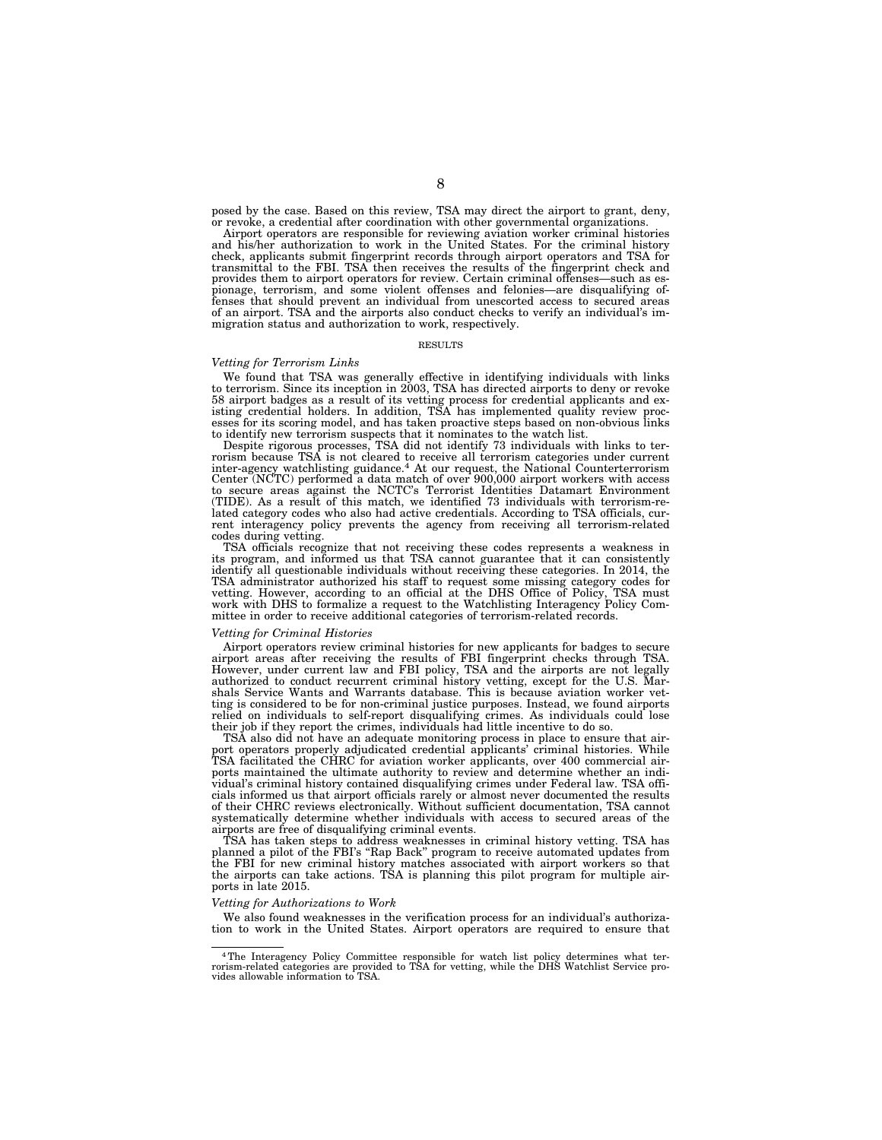posed by the case. Based on this review, TSA may direct the airport to grant, deny, or revoke, a credential after coordination with other governmental organizations.

Airport operators are responsible for reviewing aviation worker criminal histories and his/her authorization to work in the United States. For the criminal history check, applicants submit fingerprint records through airport operators and TSA for transmittal to the FBI. TSA then receives the results of the fingerprint check and provides them to airport operators for review. Certain criminal offenses—such as espionage, terrorism, and some violent offenses and felonies—are disqualifying offenses that should prevent an individual from unescorted access to secured areas of an airport. TSA and the airports also conduct checks to verify an individual's immigration status and authorization to work, respectively.

#### RESULTS

#### *Vetting for Terrorism Links*

We found that TSA was generally effective in identifying individuals with links to terrorism. Since its inception in 2003, TSA has directed airports to deny or revoke 58 airport badges as a result of its vetting process for credential applicants and existing credential holders. In addition, TSA has implemented quality review proc-esses for its scoring model, and has taken proactive steps based on non-obvious links

to identify new terrorism suspects that it nominates to the watch list. Despite rigorous processes, TSA did not identify 73 individuals with links to terrorism because TSA is not cleared to receive all terrorism categories under current inter-agency watchlisting guidance.4 At our request, the National Counterterrorism Center (NCTC) performed a data match of over 900,000 airport workers with access to secure areas against the NCTC's Terrorist Identities Datamart Environment (TIDE). As a result of this match, we identified 73 individuals with terrorism-re-lated category codes who also had active credentials. According to TSA officials, current interagency policy prevents the agency from receiving all terrorism-related codes during vetting.

TSA officials recognize that not receiving these codes represents a weakness in its program, and informed us that TSA cannot guarantee that it can consistently identify all questionable individuals without receiving these categories. In 2014, the TSA administrator authorized his staff to request some missing category codes for<br>vetting. However, according to an official at the DHS Office of Policy, TSA must<br>work with DHS to formalize a request to the Watchlisting In mittee in order to receive additional categories of terrorism-related records.

#### *Vetting for Criminal Histories*

Airport operators review criminal histories for new applicants for badges to secure airport areas after receiving the results of FBI fingerprint checks through TSA. However, under current law and FBI policy, TSA and the airports are not legally authorized to conduct recurrent criminal history vetting, except for the U.S. Marshals Service Wants and Warrants database. This is because aviation worker vetting is considered to be for non-criminal justice purposes. Instead, we found airports relied on individuals to self-report disqualifying crimes. As individuals could lose their job if they report the crimes, individuals had little incentive to do so.

TSA also did not have an adequate monitoring process in place to ensure that airport operators properly adjudicated credential applicants' criminal histories. While TSA facilitated the CHRC for aviation worker applicants, over 400 commercial airports maintained the ultimate authority to review and determine whether an individual's criminal history contained disqualifying crimes under Federal law. TSA officials informed us that airport officials rarely or almost never documented the results of their CHRC reviews electronically. Without sufficient documentation, TSA cannot systematically determine whether individuals with access to secured areas of the airports are free of disqualifying criminal events.

TSA has taken steps to address weaknesses in criminal history vetting. TSA has planned a pilot of the FBI's ''Rap Back'' program to receive automated updates from the FBI for new criminal history matches associated with airport workers so that the airports can take actions. TSA is planning this pilot program for multiple airports in late 2015.

#### *Vetting for Authorizations to Work*

We also found weaknesses in the verification process for an individual's authorization to work in the United States. Airport operators are required to ensure that

<sup>4</sup>The Interagency Policy Committee responsible for watch list policy determines what terrorism-related categories are provided to TSA for vetting, while the DHS Watchlist Service pro-vides allowable information to TSA.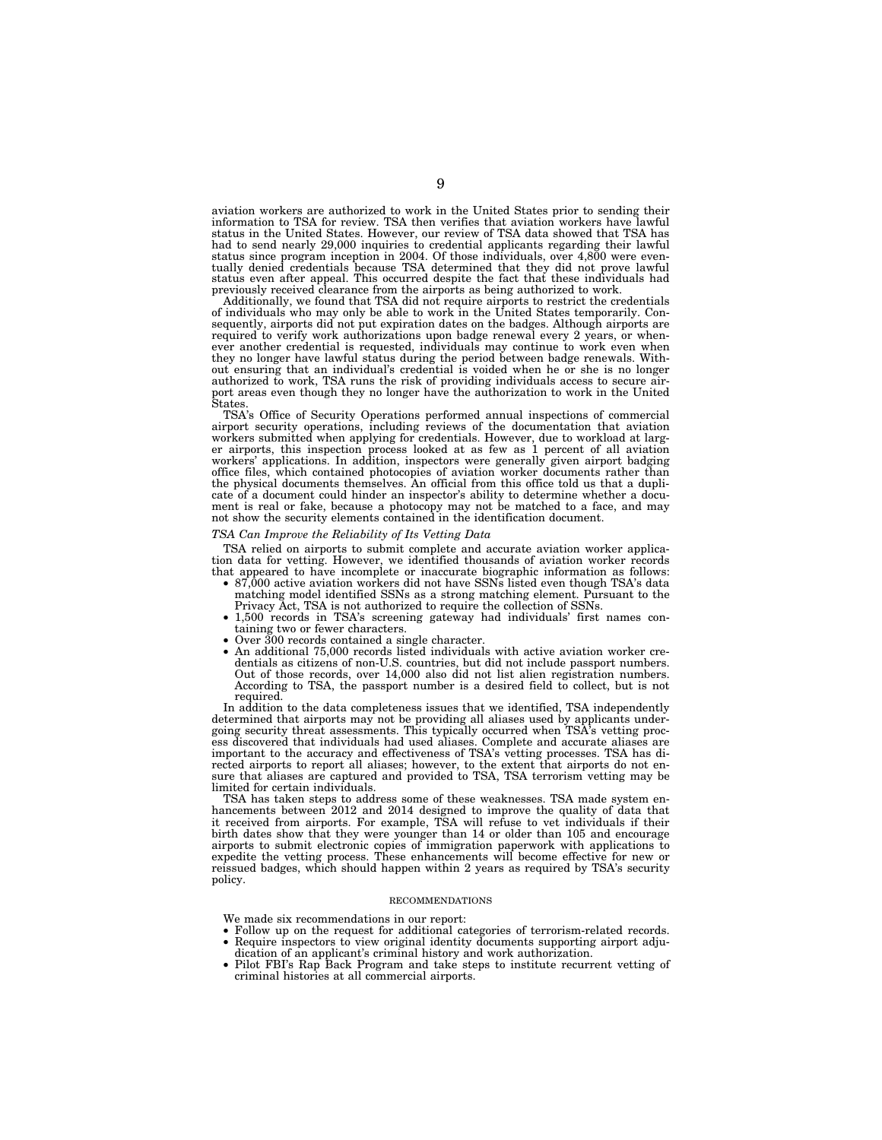aviation workers are authorized to work in the United States prior to sending their information to TSA for review. TSA then verifies that aviation workers have lawful status in the United States. However, our review of TSA data showed that TSA has had to send nearly 29,000 inquiries to credential applicants regarding their lawful status since program inception in 2004. Of those individuals, over 4,800 were eventually denied credentials because TSA determined that th previously received clearance from the airports as being authorized to work.

Additionally, we found that TSA did not require airports to restrict the credentials of individuals who may only be able to work in the United States temporarily. Con-sequently, airports did not put expiration dates on the badges. Although airports are required to verify work authorizations upon badge renewal every 2 years, or whenever another credential is requested, individuals may continue to work even when they no longer have lawful status during the period between badge renewals. Without ensuring that an individual's credential is voided when he or she is no longer authorized to work, TSA runs the risk of providing individuals access to secure air-port areas even though they no longer have the authorization to work in the United **States** 

TSA's Office of Security Operations performed annual inspections of commercial airport security operations, including reviews of the documentation that aviation workers submitted when applying for credentials. However, due to workload at larger airports, this inspection process looked at as few as 1 percent of all aviation workers' applications. In addition, inspectors were generally given airport badging office files, which contained photocopies of aviation worker documents rather than the physical documents themselves. An official from this office told us that a duplicate of a document could hinder an inspector's ability to determine whether a document is real or fake, because a photocopy may not be matched to a face, and may not show the security elements contained in the identification document.

### *TSA Can Improve the Reliability of Its Vetting Data*

TSA relied on airports to submit complete and accurate aviation worker application data for vetting. However, we identified thousands of aviation worker records

- that appeared to have incomplete or inaccurate biographic information as follows:<br>• 87,000 active aviation workers did not have SSNs listed even though TSA's data<br>matching model identified SSNs as a strong matching element
	- Privacy Act, TSA is not authorized to require the collection of SSNs. 1,500 records in TSA's screening gateway had individuals' first names con-
- 
- taining two or fewer characters. Over 300 records contained a single character. An additional 75,000 records listed individuals with active aviation worker credentials as citizens of non-U.S. countries, but did not include passport numbers. Out of those records, over 14,000 also did not list alien registration numbers. According to TSA, the passport number is a desired field to collect, but is not required.

In addition to the data completeness issues that we identified, TSA independently determined that airports may not be providing all aliases used by applicants undergoing security threat assessments. This typically occurred when TSA's vetting proc-ess discovered that individuals had used aliases. Complete and accurate aliases are important to the accuracy and effectiveness of TSA's vetting processes. TSA has di-rected airports to report all aliases; however, to the extent that airports do not ensure that aliases are captured and provided to TSA, TSA terrorism vetting may be limited for certain individuals.

TSA has taken steps to address some of these weaknesses. TSA made system enhancements between 2012 and 2014 designed to improve the quality of data that it received from airports. For example, TSA will refuse to vet individuals if their birth dates show that they were younger than 14 or older than 105 and encourage airports to submit electronic copies of immigration paperwork with applications to expedite the vetting process. These enhancements will become effective for new or reissued badges, which should happen within 2 years as required by TSA's security policy.

#### RECOMMENDATIONS

We made six recommendations in our report:

- Follow up on the request for additional categories of terrorism-related records. • Require inspectors to view original identity documents supporting airport adju-
- dication of an applicant's criminal history and work authorization.
- Pilot FBI's Rap Back Program and take steps to institute recurrent vetting of criminal histories at all commercial airports.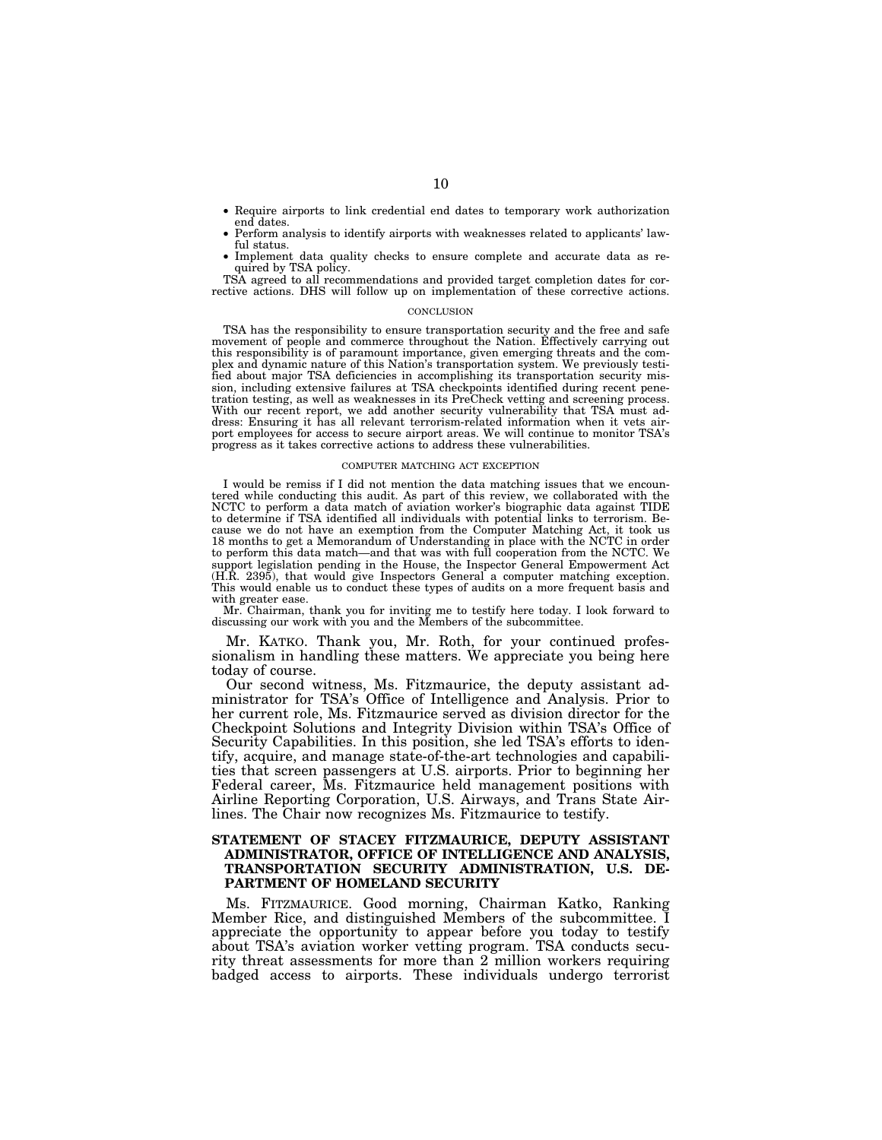- Require airports to link credential end dates to temporary work authorization end dates.
- Perform analysis to identify airports with weaknesses related to applicants' lawful status.
- Implement data quality checks to ensure complete and accurate data as required by TSA policy.

TSA agreed to all recommendations and provided target completion dates for corrective actions. DHS will follow up on implementation of these corrective actions.

#### **CONCLUSION**

TSA has the responsibility to ensure transportation security and the free and safe movement of people and commerce throughout the Nation. Effectively carrying out this responsibility is of paramount importance, given emerging threats and the complex and dynamic nature of this Nation's transportation system. We previously testified about major TSA deficiencies in accomplishing its transportation security mission, including extensive failures at TSA checkpoints identified during recent penetration testing, as well as weaknesses in its PreCheck vetting and screening process. With our recent report, we add another security vulnerability that TSA must address: Ensuring it has all relevant terrorism-related information when it vets airport employees for access to secure airport areas. We will continue to monitor TSA's progress as it takes corrective actions to address these vulnerabilities.

#### COMPUTER MATCHING ACT EXCEPTION

I would be remiss if I did not mention the data matching issues that we encountered while conducting this audit. As part of this review, we collaborated with the NCTC to perform a data match of aviation worker's biographic data against TIDE to determine if TSA identified all individuals with potential links to terrorism. Because we do not have an exemption from the Computer Matching Act, it took us 18 months to get a Memorandum of Understanding in place with the NCTC in order to perform this data match—and that was with full cooperation from the NCTC. We support legislation pending in the House, the Inspector General Empowerment Act (H.R. 2395), that would give Inspectors General a computer matching exception. This would enable us to conduct these types of audits on a more frequent basis and with greater ease.

Mr. Chairman, thank you for inviting me to testify here today. I look forward to discussing our work with you and the Members of the subcommittee.

Mr. KATKO. Thank you, Mr. Roth, for your continued professionalism in handling these matters. We appreciate you being here today of course.

Our second witness, Ms. Fitzmaurice, the deputy assistant administrator for TSA's Office of Intelligence and Analysis. Prior to her current role, Ms. Fitzmaurice served as division director for the Checkpoint Solutions and Integrity Division within TSA's Office of Security Capabilities. In this position, she led TSA's efforts to identify, acquire, and manage state-of-the-art technologies and capabilities that screen passengers at U.S. airports. Prior to beginning her Federal career, Ms. Fitzmaurice held management positions with Airline Reporting Corporation, U.S. Airways, and Trans State Airlines. The Chair now recognizes Ms. Fitzmaurice to testify.

### **STATEMENT OF STACEY FITZMAURICE, DEPUTY ASSISTANT ADMINISTRATOR, OFFICE OF INTELLIGENCE AND ANALYSIS, TRANSPORTATION SECURITY ADMINISTRATION, U.S. DE-PARTMENT OF HOMELAND SECURITY**

Ms. FITZMAURICE. Good morning, Chairman Katko, Ranking Member Rice, and distinguished Members of the subcommittee. I appreciate the opportunity to appear before you today to testify about TSA's aviation worker vetting program. TSA conducts security threat assessments for more than 2 million workers requiring badged access to airports. These individuals undergo terrorist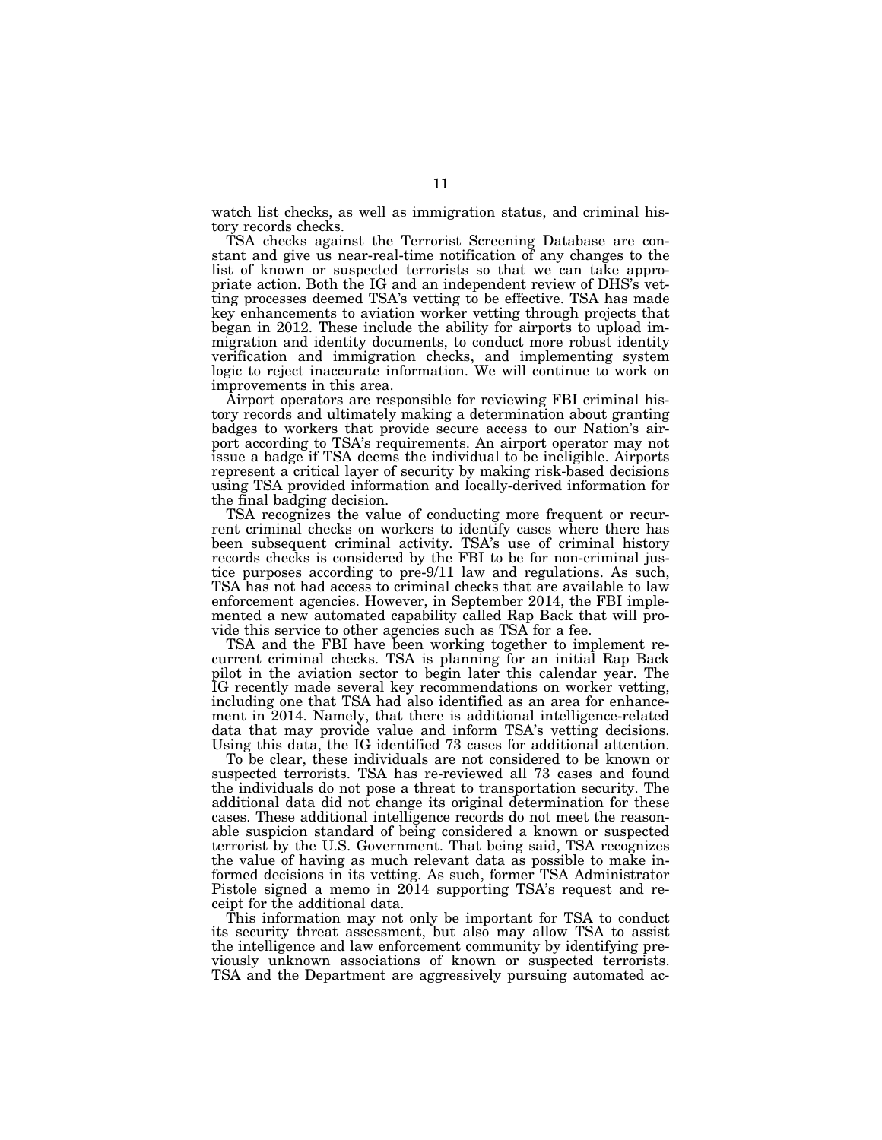watch list checks, as well as immigration status, and criminal history records checks.

TSA checks against the Terrorist Screening Database are constant and give us near-real-time notification of any changes to the list of known or suspected terrorists so that we can take appropriate action. Both the IG and an independent review of DHS's vetting processes deemed TSA's vetting to be effective. TSA has made key enhancements to aviation worker vetting through projects that began in 2012. These include the ability for airports to upload immigration and identity documents, to conduct more robust identity verification and immigration checks, and implementing system logic to reject inaccurate information. We will continue to work on improvements in this area.

Airport operators are responsible for reviewing FBI criminal history records and ultimately making a determination about granting badges to workers that provide secure access to our Nation's airport according to TSA's requirements. An airport operator may not issue a badge if TSA deems the individual to be ineligible. Airports represent a critical layer of security by making risk-based decisions using TSA provided information and locally-derived information for the final badging decision.

TSA recognizes the value of conducting more frequent or recurrent criminal checks on workers to identify cases where there has been subsequent criminal activity. TSA's use of criminal history records checks is considered by the FBI to be for non-criminal justice purposes according to pre-9/11 law and regulations. As such, TSA has not had access to criminal checks that are available to law enforcement agencies. However, in September 2014, the FBI implemented a new automated capability called Rap Back that will provide this service to other agencies such as TSA for a fee.

TSA and the FBI have been working together to implement recurrent criminal checks. TSA is planning for an initial Rap Back pilot in the aviation sector to begin later this calendar year. The IG recently made several key recommendations on worker vetting, including one that TSA had also identified as an area for enhancement in 2014. Namely, that there is additional intelligence-related data that may provide value and inform TSA's vetting decisions. Using this data, the IG identified 73 cases for additional attention.

To be clear, these individuals are not considered to be known or suspected terrorists. TSA has re-reviewed all 73 cases and found the individuals do not pose a threat to transportation security. The additional data did not change its original determination for these cases. These additional intelligence records do not meet the reasonable suspicion standard of being considered a known or suspected terrorist by the U.S. Government. That being said, TSA recognizes the value of having as much relevant data as possible to make informed decisions in its vetting. As such, former TSA Administrator Pistole signed a memo in 2014 supporting TSA's request and receipt for the additional data.

This information may not only be important for TSA to conduct its security threat assessment, but also may allow TSA to assist the intelligence and law enforcement community by identifying previously unknown associations of known or suspected terrorists. TSA and the Department are aggressively pursuing automated ac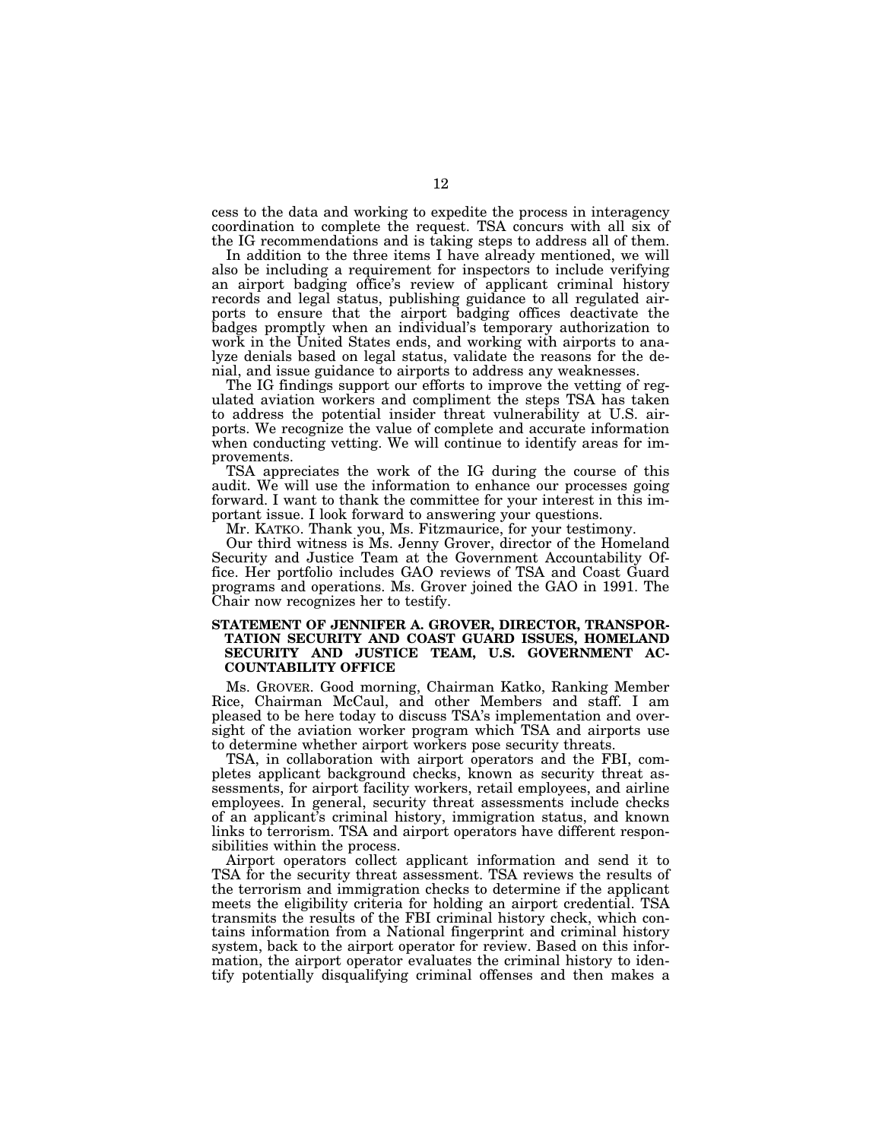cess to the data and working to expedite the process in interagency coordination to complete the request. TSA concurs with all six of the IG recommendations and is taking steps to address all of them.

In addition to the three items I have already mentioned, we will also be including a requirement for inspectors to include verifying an airport badging office's review of applicant criminal history records and legal status, publishing guidance to all regulated airports to ensure that the airport badging offices deactivate the badges promptly when an individual's temporary authorization to work in the United States ends, and working with airports to analyze denials based on legal status, validate the reasons for the denial, and issue guidance to airports to address any weaknesses.

The IG findings support our efforts to improve the vetting of regulated aviation workers and compliment the steps TSA has taken to address the potential insider threat vulnerability at U.S. airports. We recognize the value of complete and accurate information when conducting vetting. We will continue to identify areas for improvements.

TSA appreciates the work of the IG during the course of this audit. We will use the information to enhance our processes going forward. I want to thank the committee for your interest in this important issue. I look forward to answering your questions.

Mr. KATKO. Thank you, Ms. Fitzmaurice, for your testimony.

Our third witness is Ms. Jenny Grover, director of the Homeland Security and Justice Team at the Government Accountability Office. Her portfolio includes GAO reviews of TSA and Coast Guard programs and operations. Ms. Grover joined the GAO in 1991. The Chair now recognizes her to testify.

## **STATEMENT OF JENNIFER A. GROVER, DIRECTOR, TRANSPOR-TATION SECURITY AND COAST GUARD ISSUES, HOMELAND SECURITY AND JUSTICE TEAM, U.S. GOVERNMENT AC-COUNTABILITY OFFICE**

Ms. GROVER. Good morning, Chairman Katko, Ranking Member Rice, Chairman McCaul, and other Members and staff. I am pleased to be here today to discuss TSA's implementation and oversight of the aviation worker program which TSA and airports use to determine whether airport workers pose security threats.

TSA, in collaboration with airport operators and the FBI, completes applicant background checks, known as security threat assessments, for airport facility workers, retail employees, and airline employees. In general, security threat assessments include checks of an applicant's criminal history, immigration status, and known links to terrorism. TSA and airport operators have different responsibilities within the process.

Airport operators collect applicant information and send it to TSA for the security threat assessment. TSA reviews the results of the terrorism and immigration checks to determine if the applicant meets the eligibility criteria for holding an airport credential. TSA transmits the results of the FBI criminal history check, which contains information from a National fingerprint and criminal history system, back to the airport operator for review. Based on this information, the airport operator evaluates the criminal history to identify potentially disqualifying criminal offenses and then makes a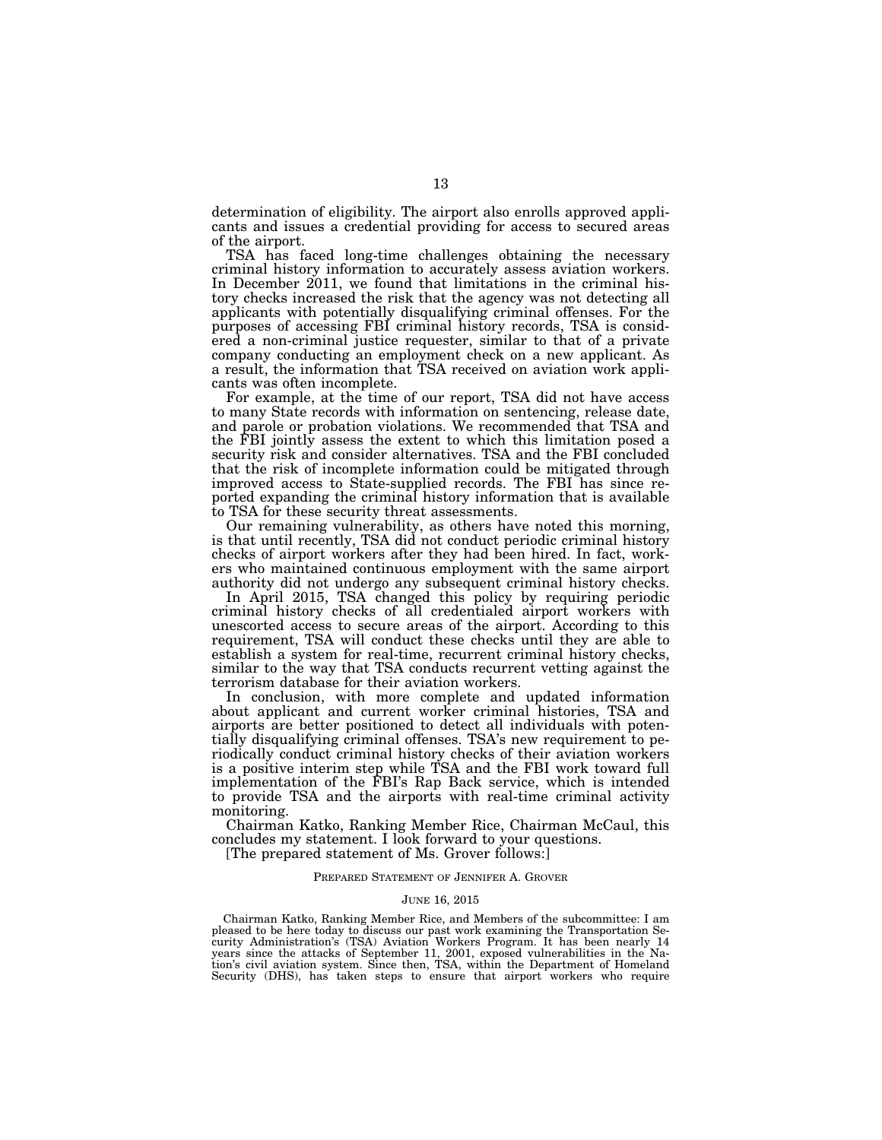determination of eligibility. The airport also enrolls approved applicants and issues a credential providing for access to secured areas of the airport.

TSA has faced long-time challenges obtaining the necessary criminal history information to accurately assess aviation workers. In December 2011, we found that limitations in the criminal history checks increased the risk that the agency was not detecting all applicants with potentially disqualifying criminal offenses. For the purposes of accessing FBI criminal history records, TSA is considered a non-criminal justice requester, similar to that of a private company conducting an employment check on a new applicant. As a result, the information that TSA received on aviation work applicants was often incomplete.

For example, at the time of our report, TSA did not have access to many State records with information on sentencing, release date, and parole or probation violations. We recommended that TSA and the FBI jointly assess the extent to which this limitation posed a security risk and consider alternatives. TSA and the FBI concluded that the risk of incomplete information could be mitigated through improved access to State-supplied records. The FBI has since reported expanding the criminal history information that is available to TSA for these security threat assessments.

Our remaining vulnerability, as others have noted this morning, is that until recently, TSA did not conduct periodic criminal history checks of airport workers after they had been hired. In fact, workers who maintained continuous employment with the same airport authority did not undergo any subsequent criminal history checks.

In April 2015, TSA changed this policy by requiring periodic criminal history checks of all credentialed airport workers with unescorted access to secure areas of the airport. According to this requirement, TSA will conduct these checks until they are able to establish a system for real-time, recurrent criminal history checks, similar to the way that TSA conducts recurrent vetting against the terrorism database for their aviation workers.

In conclusion, with more complete and updated information about applicant and current worker criminal histories, TSA and airports are better positioned to detect all individuals with potentially disqualifying criminal offenses. TSA's new requirement to periodically conduct criminal history checks of their aviation workers is a positive interim step while TSA and the FBI work toward full implementation of the FBI's Rap Back service, which is intended to provide TSA and the airports with real-time criminal activity monitoring.

Chairman Katko, Ranking Member Rice, Chairman McCaul, this concludes my statement. I look forward to your questions.

[The prepared statement of Ms. Grover follows:]

#### PREPARED STATEMENT OF JENNIFER A. GROVER

#### JUNE 16, 2015

Chairman Katko, Ranking Member Rice, and Members of the subcommittee: I am pleased to be here today to discuss our past work examining the Transportation Security Administration's (TSA) Aviation Workers Program. It has been nearly 14 years since the attacks of September 11, 2001, exposed vulnerabilities in the Nation's civil aviation system. Since then, TSA, within the Department of Homeland Security (DHS), has taken steps to ensure that airport workers who require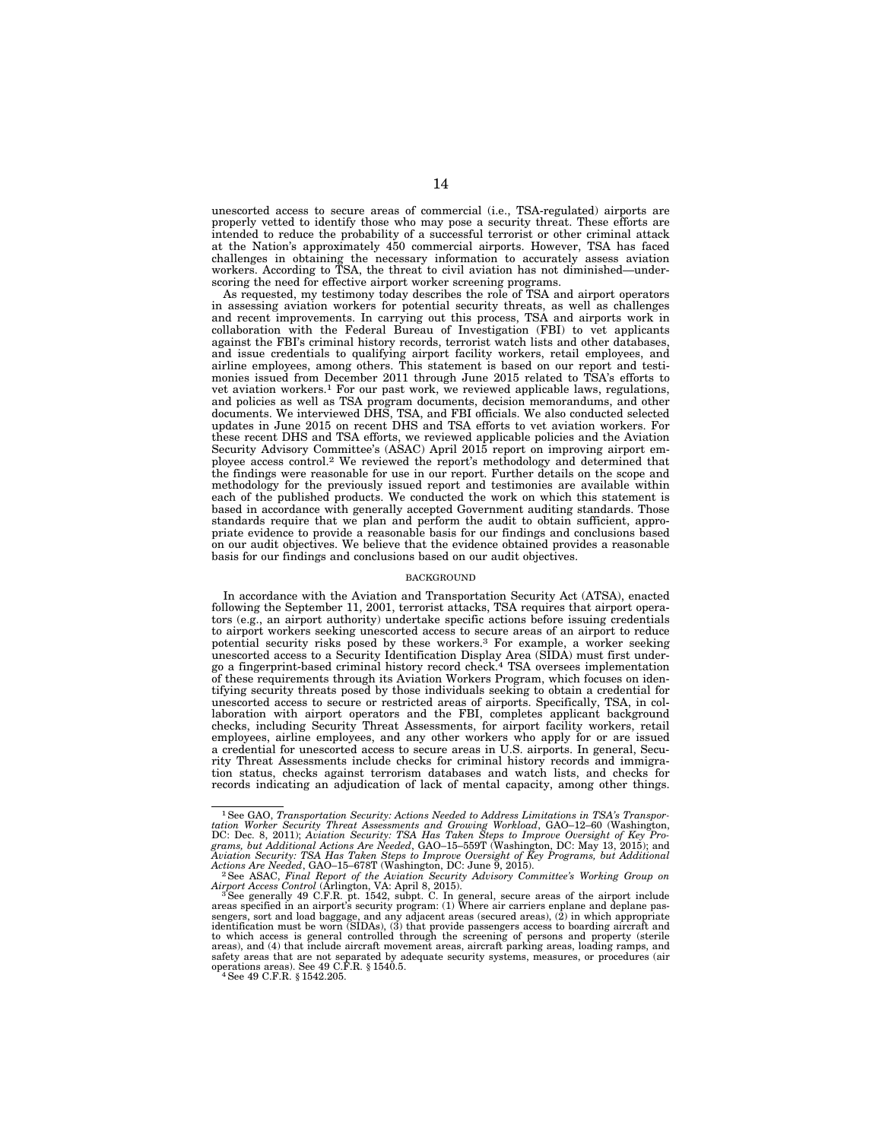unescorted access to secure areas of commercial (i.e., TSA-regulated) airports are properly vetted to identify those who may pose a security threat. These efforts are intended to reduce the probability of a successful terrorist or other criminal attack at the Nation's approximately 450 commercial airports. However, TSA has faced challenges in obtaining the necessary information to accurately assess aviation workers. According to TSA, the threat to civil aviation has not diminished—underscoring the need for effective airport worker screening programs.

As requested, my testimony today describes the role of TSA and airport operators in assessing aviation workers for potential security threats, as well as challenges and recent improvements. In carrying out this process, TSA and airports work in collaboration with the Federal Bureau of Investigation (FBI) to vet applicants against the FBI's criminal history records, terrorist watch lists and other databases, and issue credentials to qualifying airport facility workers, retail employees, and airline employees, among others. This statement is based on our report and testimonies issued from December 2011 through June 2015 related to TSA's efforts to vet aviation workers.1 For our past work, we reviewed applicable laws, regulations, and policies as well as TSA program documents, decision memorandums, and other documents. We interviewed DHS, TSA, and FBI officials. We also conducted selected updates in June 2015 on recent DHS and TSA efforts to vet aviation workers. For these recent DHS and TSA efforts, we reviewed applicable policies and the Aviation Security Advisory Committee's (ASAC) April 2015 report on improving airport employee access control.2 We reviewed the report's methodology and determined that the findings were reasonable for use in our report. Further details on the scope and methodology for the previously issued report and testimonies are available within each of the published products. We conducted the work on which this statement is based in accordance with generally accepted Government auditing standards. Those standards require that we plan and perform the audit to obtain sufficient, appropriate evidence to provide a reasonable basis for our findings and conclusions based on our audit objectives. We believe that the evidence obtained provides a reasonable basis for our findings and conclusions based on our audit objectives.

#### BACKGROUND

In accordance with the Aviation and Transportation Security Act (ATSA), enacted following the September 11, 2001, terrorist attacks, TSA requires that airport operators (e.g., an airport authority) undertake specific actions before issuing credentials to airport workers seeking unescorted access to secure areas of an airport to reduce potential security risks posed by these workers.3 For example, a worker seeking unescorted access to a Security Identification Display Area (SIDA) must first under-go a fingerprint-based criminal history record check.4 TSA oversees implementation of these requirements through its Aviation Workers Program, which focuses on identifying security threats posed by those individuals seeking to obtain a credential for unescorted access to secure or restricted areas of airports. Specifically, TSA, in collaboration with airport operators and the FBI, completes applicant background checks, including Security Threat Assessments, for airport facility workers, retail employees, airline employees, and any other workers who apply for or are issued a credential for unescorted access to secure areas in U.S. airports. In general, Security Threat Assessments include checks for criminal history records and immigration status, checks against terrorism databases and watch lists, and checks for records indicating an adjudication of lack of mental capacity, among other things.

<sup>&</sup>lt;sup>1</sup>See GAO, Transportation Security: Actions Needed to Address Limitations in TSA's Transportation Worker Security Threat Assessments and Growing Workload, GAO-12-60 (Washington, DC: Dec. 8, 2011); Aviation Security: TSA H *grams, but Additional Actions Are Needed*, GAO–15–559T (Washington, DC: May 13, 2015); and *Aviation Security: TSA Has Taken Steps to Improve Oversight of Key Programs, but Additional* 

*Actions Are Needed*, GAO–15–678T (Washington, DC: June 9, 2015). 2See ASAC, *Final Report of the Aviation Security Advisory Committee's Working Group on* 

Airport Access Control (Arlington, VA: April 8, 2015).<br><sup>3</sup> See generally 49 C.F.R. pt. 1542, subpt. C. In general, secure areas of the airport include<br>areas specified in an airport's security program: (1) Where air carrier to which access is general controlled through the screening of persons and property (sterile areas), and (4) that include aircraft movement areas, aircraft parking areas, loading ramps, and safety areas that are not separated by adequate security systems, measures, or procedures (air operations areas). See 49 C.F.R. § 1540.5. 4See 49 C.F.R. § 1542.205.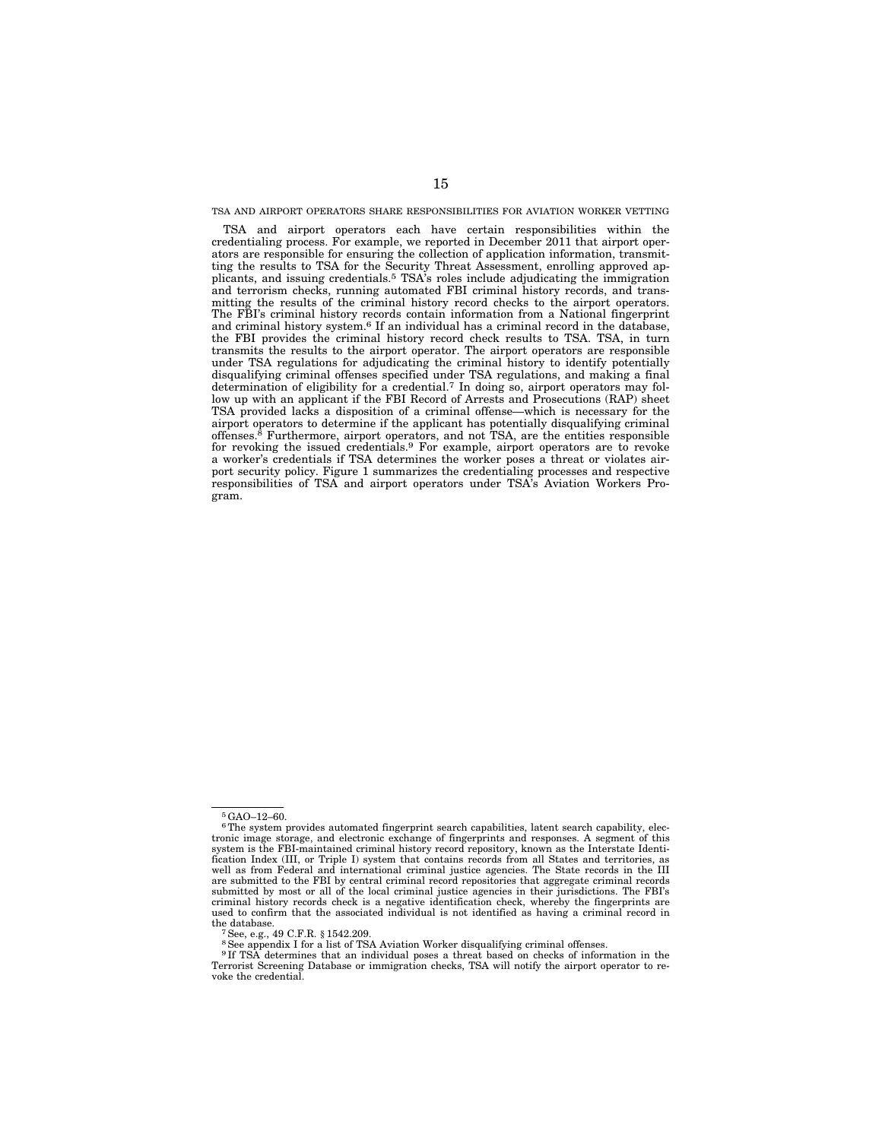#### TSA AND AIRPORT OPERATORS SHARE RESPONSIBILITIES FOR AVIATION WORKER VETTING

TSA and airport operators each have certain responsibilities within the credentialing process. For example, we reported in December 2011 that airport operators are responsible for ensuring the collection of application information, transmitting the results to TSA for the Security Threat Assessment, enrolling approved applicants, and issuing credentials.5 TSA's roles include adjudicating the immigration and terrorism checks, running automated FBI criminal history records, and transmitting the results of the criminal history record checks to the airport operators. The FBI's criminal history records contain information from a National fingerprint and criminal history system.6 If an individual has a criminal record in the database, the FBI provides the criminal history record check results to TSA. TSA, in turn transmits the results to the airport operator. The airport operators are responsible under TSA regulations for adjudicating the criminal history to identify potentially disqualifying criminal offenses specified under TSA regulations, and making a final determination of eligibility for a credential.7 In doing so, airport operators may follow up with an applicant if the FBI Record of Arrests and Prosecutions (RAP) sheet TSA provided lacks a disposition of a criminal offense—which is necessary for the airport operators to determine if the applicant has potentially disqualifying criminal offenses.8 Furthermore, airport operators, and not TSA, are the entities responsible for revoking the issued credentials.<sup>9</sup> For example, airport operators are to revoke a worker's credentials if TSA determines the worker poses a threat or violates airport security policy. Figure 1 summarizes the credentialing processes and respective responsibilities of TSA and airport operators under TSA's Aviation Workers Program.

<sup>5</sup>GAO–12–60.

<sup>6</sup>The system provides automated fingerprint search capabilities, latent search capability, electronic image storage, and electronic exchange of fingerprints and responses. A segment of this system is the FBI-maintained criminal history record repository, known as the Interstate Identification Index (III, or Triple I) system that contains records from all States and territories, as well as from Federal and international criminal justice agencies. The State records in the III are submitted to the FBI by central criminal record repositories that aggregate criminal records submitted by most or all of the local criminal justice agencies in their jurisdictions. The FBI's criminal history records check is a negative identification check, whereby the fingerprints are used to confirm that the associated individual is not identified as having a criminal record in the database.<br>
<sup>7</sup>See, e.g., 49 C.F.R. § 1542.209.<br>
<sup>8</sup>See appendix I for a list of TSA Aviation Worker disqualifying criminal offenses.

<sup>9</sup> If TSA determines that an individual poses a threat based on checks of information in the Terrorist Screening Database or immigration checks, TSA will notify the airport operator to revoke the credential.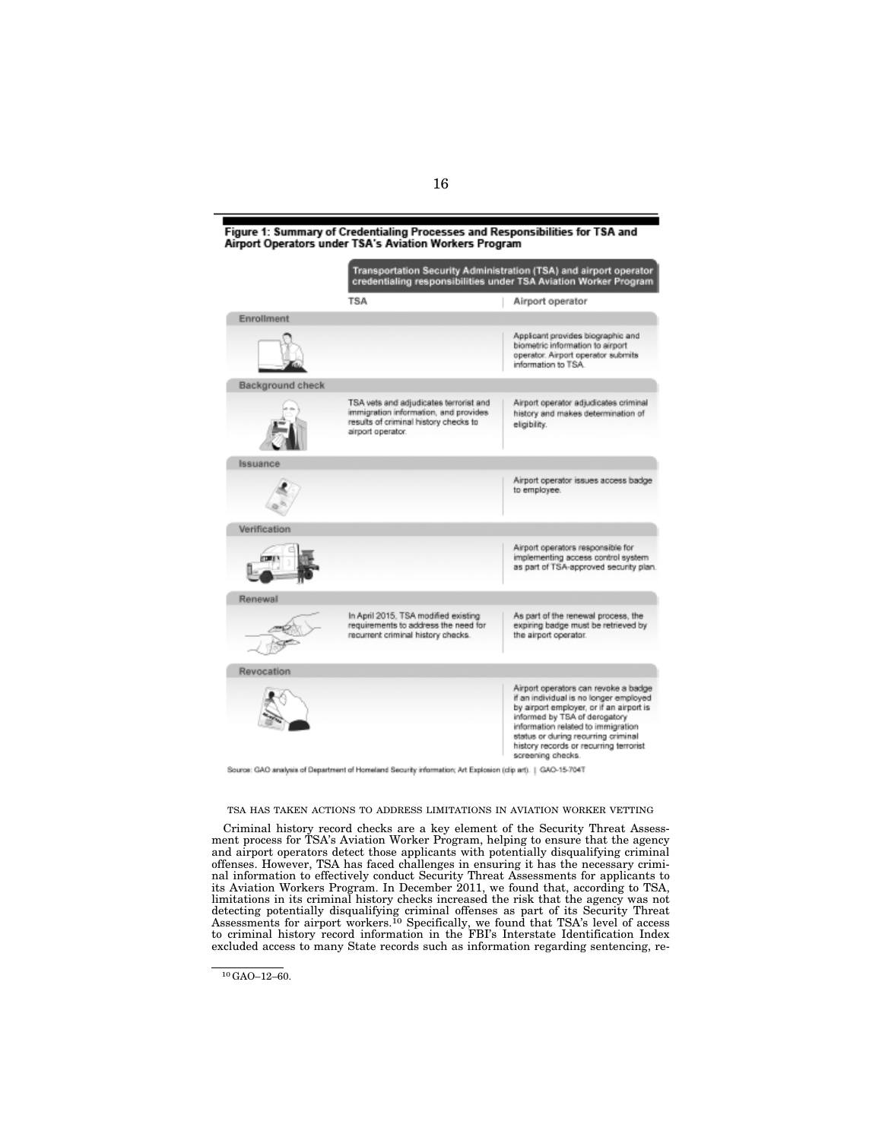Figure 1: Summary of Credentialing Processes and Responsibilities for TSA and Airport Operators under TSA's Aviation Workers Program

|                  | Transportation Security Administration (TSA) and airport operator<br>credentialing responsibilities under TSA Aviation Worker Program         |                                                                                                                                                                                                                                                                                                         |
|------------------|-----------------------------------------------------------------------------------------------------------------------------------------------|---------------------------------------------------------------------------------------------------------------------------------------------------------------------------------------------------------------------------------------------------------------------------------------------------------|
|                  | <b>TSA</b>                                                                                                                                    | Airport operator                                                                                                                                                                                                                                                                                        |
| Enrollment       |                                                                                                                                               |                                                                                                                                                                                                                                                                                                         |
|                  |                                                                                                                                               | Applicant provides biographic and<br>biometric information to airport<br>operator. Airport operator submits<br>information to TSA.                                                                                                                                                                      |
| Background check |                                                                                                                                               |                                                                                                                                                                                                                                                                                                         |
|                  | TSA vets and adjudicates terrorist and<br>immigration information, and provides<br>results of criminal history checks to<br>airport operator. | Airport operator adjudicates criminal<br>history and makes determination of<br>eligibility.                                                                                                                                                                                                             |
| Issuance         |                                                                                                                                               |                                                                                                                                                                                                                                                                                                         |
|                  |                                                                                                                                               | Airport operator issues access badge<br>to employee.                                                                                                                                                                                                                                                    |
| Verification     |                                                                                                                                               |                                                                                                                                                                                                                                                                                                         |
|                  |                                                                                                                                               | Airport operators responsible for<br>implementing access control system<br>as part of TSA-approved security plan.                                                                                                                                                                                       |
| Renewal          |                                                                                                                                               |                                                                                                                                                                                                                                                                                                         |
|                  | In April 2015, TSA modified existing<br>requirements to address the need for<br>recurrent criminal history checks.                            | As part of the renewal process, the<br>expiring badge must be retrieved by<br>the airport operator.                                                                                                                                                                                                     |
| Revocation       |                                                                                                                                               |                                                                                                                                                                                                                                                                                                         |
|                  |                                                                                                                                               | Airport operators can revoke a badge<br>if an individual is no longer employed<br>by airport employer, or if an airport is<br>informed by TSA of derogatory<br>information related to immigration<br>status or during recurring criminal<br>history records or recurring terrorist<br>screening checks. |

nation; Art Explosion (clip art). | GAO-15-7047 analysis of Department of Homeland Security infor

#### TSA HAS TAKEN ACTIONS TO ADDRESS LIMITATIONS IN AVIATION WORKER VETTING

Criminal history record checks are a key element of the Security Threat Assessment process for TSA's Aviation Worker Program, helping to ensure that the agency and airport operators detect those applicants with potentially disqualifying criminal offenses. However, TSA has faced challenges in ensuring it has the necessary criminal information to effectively conduct Security Threat Assessments for applicants to its Aviation Workers Program. In December 2011, we found that, according to TSA, limitations in its criminal history checks increased the risk that the agency was not detecting potentially disqualifying criminal offenses as part of its Security Threat Assessments for airport workers.10 Specifically, we found that TSA's level of access to criminal history record information in the FBI's Interstate Identification Index excluded access to many State records such as information regarding sentencing, re-

<sup>10</sup>GAO–12–60.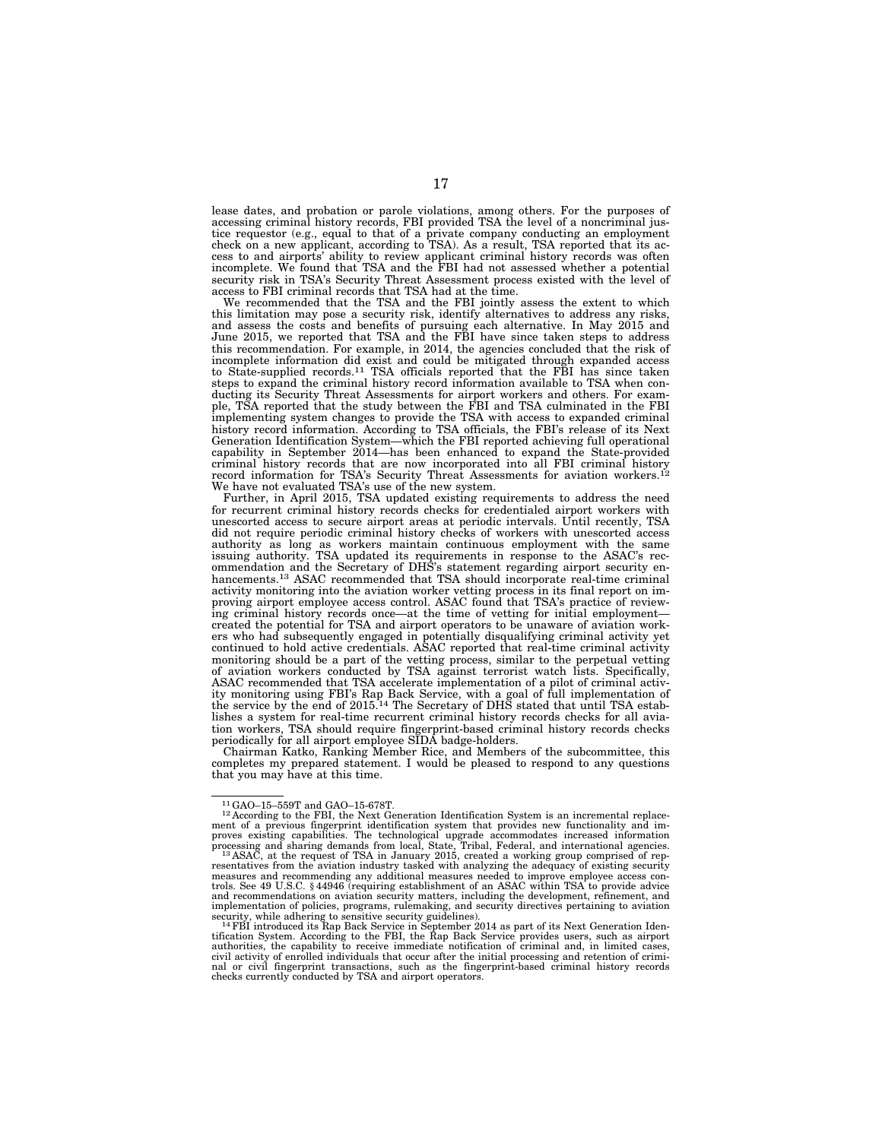lease dates, and probation or parole violations, among others. For the purposes of accessing criminal history records, FBI provided TSA the level of a noncriminal justice requestor (e.g., equal to that of a private company conducting an employment check on a new applicant, according to TSA). As a result, TSA reported that its access to and airports' ability to review applicant criminal history records was often incomplete. We found that TSA and the FBI had not assessed whether a potential security risk in TSA's Security Threat Assessment process existed with the level of access to FBI criminal records that TSA had at the time.

We recommended that the TSA and the FBI jointly assess the extent to which this limitation may pose a security risk, identify alternatives to address any risks, and assess the costs and benefits of pursuing each alternative. In May 2015 and June 2015, we reported that TSA and the FBI have since taken steps to address this recommendation. For example, in 2014, the agencies concluded that the risk of incomplete information did exist and could be mitigated through expanded access to State-supplied records.11 TSA officials reported that the FBI has since taken steps to expand the criminal history record information available to TSA when conducting its Security Threat Assessments for airport workers and others. For example, TSA reported that the study between the FBI and TSA culminated in the FBI implementing system changes to provide the TSA with access to expanded criminal history record information. According to TSA officials, the FBI's release of its Next Generation Identification System—which the FBI reported achieving full operational capability in September 2014—has been enhanced to expand the State-provided criminal history records that are now incorporated into all FBI criminal history record information for TSA's Security Threat Assessments for aviation workers.12 We have not evaluated TSA's use of the new system.

Further, in April 2015, TSA updated existing requirements to address the need for recurrent criminal history records checks for credentialed airport workers with unescorted access to secure airport areas at periodic intervals. Until recently, TSA did not require periodic criminal history checks of workers with unescorted access authority as long as workers maintain continuous employment with the same issuing authority. TSA updated its requirements in response to the ASAC's recommendation and the Secretary of DHS's statement regarding airport security enhancements.<sup>13</sup> ASAC recommended that TSA should incorporate real-time criminal activity monitoring into the aviation worker vetting process in its final report on improving airport employee access control. ASAC found that TSA's practice of reviewing criminal history records once—at the time of vetting for initial employment created the potential for TSA and airport operators to be unaware of aviation workers who had subsequently engaged in potentially disqualifying criminal activity yet continued to hold active credentials. ASAC reported that real-time criminal activity monitoring should be a part of the vetting process, similar to the perpetual vetting of aviation workers conducted by TSA against terrorist watch lists. Specifically, ASAC recommended that TSA accelerate implementation of a pilot of criminal activity monitoring using FBI's Rap Back Service, with a goal of full implementation of the service by the end of 2015.14 The Secretary of DHS stated that until TSA establishes a system for real-time recurrent criminal history records checks for all aviation workers, TSA should require fingerprint-based criminal history records checks periodically for all airport employee SIDA badge-holders.

Chairman Katko, Ranking Member Rice, and Members of the subcommittee, this completes my prepared statement. I would be pleased to respond to any questions that you may have at this time.

 $^{11}$ GAO-15-559T and GAO-15-678T.<br> $^{12}$ According to the FBI, the Next Generation Identification System is an incremental replace-<br>ment of a previous fingerprint identification system that provides new functionality and processing and sharing demands from local, State, Tribal, Federal, and international agencies.<br><sup>13</sup>ASAC, at the request of TSA in January 2015, created a working group comprised of rep-<br>resentatives from the aviation indus measures and recommending any additional measures needed to improve employee access con-trols. See 49 U.S.C. § 44946 (requiring establishment of an ASAC within TSA to provide advice and recommendations on aviation security matters, including the development, refinement, and implementation of policies, programs, rulemaking, and security directives pertaining to aviation<br>security, while adhering to sensitive security guidelines).<br>- <sup>14</sup>FBI introduced its Rap Back Service in September 2014 as pa

tification System. According to the FBI, the Rap Back Service provides users, such as airport authorities, the capability to receive immediate notification of criminal and, in limited cases, civil activity of enrolled individuals that occur after the initial processing and retention of criminal or civil fingerprint transactions, such as the fingerprint-based criminal history records checks currently conducted by TSA and airport operators.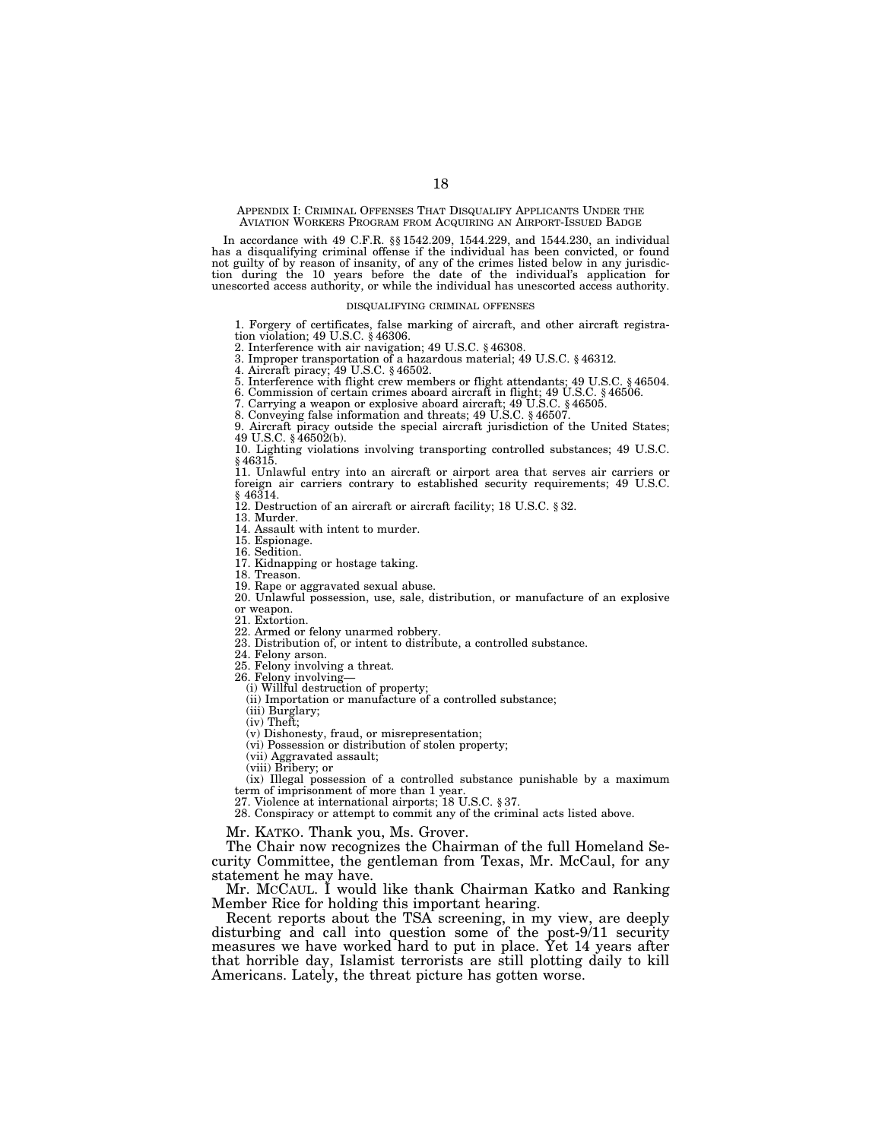APPENDIX I: CRIMINAL OFFENSES THAT DISQUALIFY APPLICANTS UNDER THE AVIATION WORKERS PROGRAM FROM ACQUIRING AN AIRPORT-ISSUED BADGE

In accordance with 49 C.F.R. §§ 1542.209, 1544.229, and 1544.230, an individual has a disqualifying criminal offense if the individual has been convicted, or found not guilty of by reason of insanity, of any of the crimes listed below in any jurisdiction during the 10 years before the date of the individual's application for unescorted access authority, or while the individual has unescorted access authority.

#### DISQUALIFYING CRIMINAL OFFENSES

1. Forgery of certificates, false marking of aircraft, and other aircraft registration violation; 49 U.S.C. § 46306.

2. Interference with air navigation; 49 U.S.C. § 46308.

3. Improper transportation of a hazardous material; 49 U.S.C. § 46312. 4. Aircraft piracy; 49 U.S.C. § 46502.

5. Interference with flight crew members or flight attendants; 49 U.S.C. § 46504.<br>6. Commission of certain crimes aboard aircraft in flight; 49 U.S.C. § 46506.<br>7. Carrying a weapon or explosive aboard aircraft; 49 U.S.C. §

9. Aircraft piracy outside the special aircraft jurisdiction of the United States; 49 U.S.C. § 46502(b).

10. Lighting violations involving transporting controlled substances; 49 U.S.C. § 46315.

11. Unlawful entry into an aircraft or airport area that serves air carriers or foreign air carriers contrary to established security requirements; 49 U.S.C. § 46314.

12. Destruction of an aircraft or aircraft facility; 18 U.S.C. § 32.

13. Murder.

14. Assault with intent to murder.

15. Espionage.

16. Sedition.

17. Kidnapping or hostage taking.

18. Treason.

19. Rape or aggravated sexual abuse. 20. Unlawful possession, use, sale, distribution, or manufacture of an explosive or weapon.

21. Extortion.

22. Armed or felony unarmed robbery.

23. Distribution of, or intent to distribute, a controlled substance.

24. Felony arson.

25. Felony involving a threat.

26. Felony involving— (i) Willful destruction of property;

(ii) Importation or manufacture of a controlled substance;

(iii) Burglary;

(iv) Theft;

 $(v)$  Dishonesty, fraud, or misrepresentation;

(vi) Possession or distribution of stolen property;

(vii) Aggravated assault; (viii) Bribery; or

(ix) Illegal possession of a controlled substance punishable by a maximum term of imprisonment of more than 1 year.

27. Violence at international airports; 18 U.S.C. § 37.

28. Conspiracy or attempt to commit any of the criminal acts listed above.

Mr. KATKO. Thank you, Ms. Grover.

The Chair now recognizes the Chairman of the full Homeland Security Committee, the gentleman from Texas, Mr. McCaul, for any statement he may have.

Mr. MCCAUL. I would like thank Chairman Katko and Ranking Member Rice for holding this important hearing.

Recent reports about the TSA screening, in my view, are deeply disturbing and call into question some of the post-9/11 security measures we have worked hard to put in place. Yet 14 years after that horrible day, Islamist terrorists are still plotting daily to kill Americans. Lately, the threat picture has gotten worse.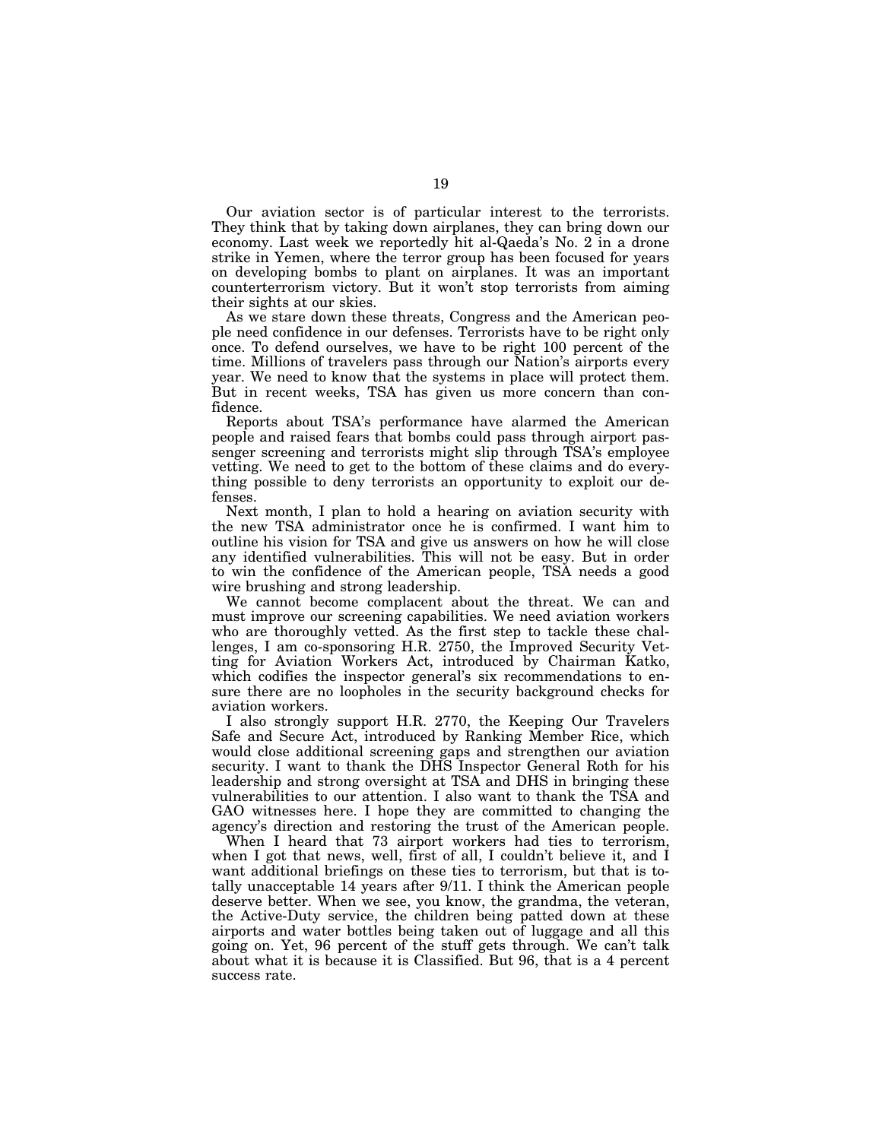Our aviation sector is of particular interest to the terrorists. They think that by taking down airplanes, they can bring down our economy. Last week we reportedly hit al-Qaeda's No. 2 in a drone strike in Yemen, where the terror group has been focused for years on developing bombs to plant on airplanes. It was an important counterterrorism victory. But it won't stop terrorists from aiming their sights at our skies.

As we stare down these threats, Congress and the American people need confidence in our defenses. Terrorists have to be right only once. To defend ourselves, we have to be right 100 percent of the time. Millions of travelers pass through our Nation's airports every year. We need to know that the systems in place will protect them. But in recent weeks, TSA has given us more concern than confidence.

Reports about TSA's performance have alarmed the American people and raised fears that bombs could pass through airport passenger screening and terrorists might slip through TSA's employee vetting. We need to get to the bottom of these claims and do everything possible to deny terrorists an opportunity to exploit our defenses.

Next month, I plan to hold a hearing on aviation security with the new TSA administrator once he is confirmed. I want him to outline his vision for TSA and give us answers on how he will close any identified vulnerabilities. This will not be easy. But in order to win the confidence of the American people, TSA needs a good wire brushing and strong leadership.

We cannot become complacent about the threat. We can and must improve our screening capabilities. We need aviation workers who are thoroughly vetted. As the first step to tackle these challenges, I am co-sponsoring H.R. 2750, the Improved Security Vetting for Aviation Workers Act, introduced by Chairman Katko, which codifies the inspector general's six recommendations to ensure there are no loopholes in the security background checks for aviation workers.

I also strongly support H.R. 2770, the Keeping Our Travelers Safe and Secure Act, introduced by Ranking Member Rice, which would close additional screening gaps and strengthen our aviation security. I want to thank the DHS Inspector General Roth for his leadership and strong oversight at TSA and DHS in bringing these vulnerabilities to our attention. I also want to thank the TSA and GAO witnesses here. I hope they are committed to changing the agency's direction and restoring the trust of the American people.

When I heard that 73 airport workers had ties to terrorism, when I got that news, well, first of all, I couldn't believe it, and I want additional briefings on these ties to terrorism, but that is totally unacceptable 14 years after 9/11. I think the American people deserve better. When we see, you know, the grandma, the veteran, the Active-Duty service, the children being patted down at these airports and water bottles being taken out of luggage and all this going on. Yet, 96 percent of the stuff gets through. We can't talk about what it is because it is Classified. But 96, that is a 4 percent success rate.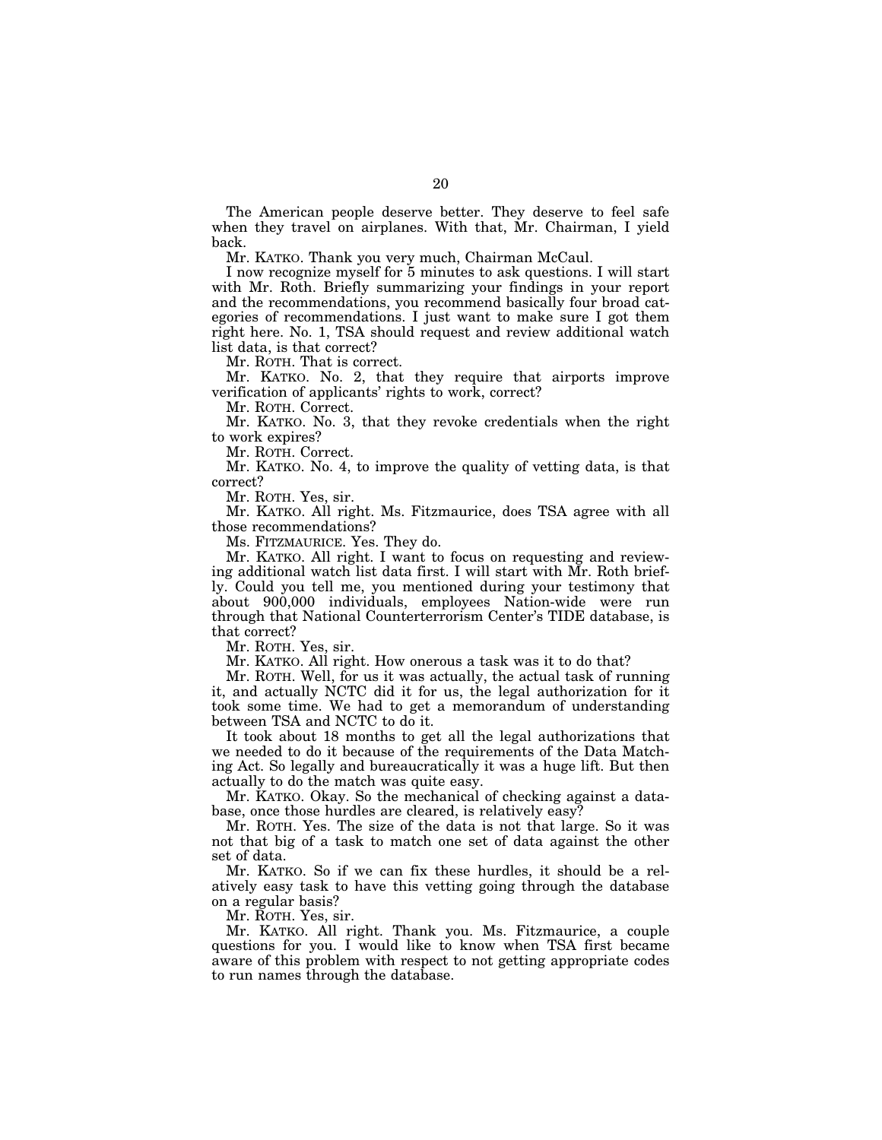The American people deserve better. They deserve to feel safe when they travel on airplanes. With that, Mr. Chairman, I yield back.

Mr. KATKO. Thank you very much, Chairman McCaul.

I now recognize myself for 5 minutes to ask questions. I will start with Mr. Roth. Briefly summarizing your findings in your report and the recommendations, you recommend basically four broad categories of recommendations. I just want to make sure I got them right here. No. 1, TSA should request and review additional watch list data, is that correct?

Mr. ROTH. That is correct.

Mr. KATKO. No. 2, that they require that airports improve verification of applicants' rights to work, correct?

Mr. ROTH. Correct.

Mr. KATKO. No. 3, that they revoke credentials when the right to work expires?

Mr. ROTH. Correct.

Mr. KATKO. No. 4, to improve the quality of vetting data, is that correct?

Mr. ROTH. Yes, sir.

Mr. KATKO. All right. Ms. Fitzmaurice, does TSA agree with all those recommendations?

Ms. FITZMAURICE. Yes. They do.

Mr. KATKO. All right. I want to focus on requesting and reviewing additional watch list data first. I will start with Mr. Roth briefly. Could you tell me, you mentioned during your testimony that about 900,000 individuals, employees Nation-wide were run through that National Counterterrorism Center's TIDE database, is that correct?

Mr. ROTH. Yes, sir.

Mr. KATKO. All right. How onerous a task was it to do that?

Mr. ROTH. Well, for us it was actually, the actual task of running it, and actually NCTC did it for us, the legal authorization for it took some time. We had to get a memorandum of understanding between TSA and NCTC to do it.

It took about 18 months to get all the legal authorizations that we needed to do it because of the requirements of the Data Matching Act. So legally and bureaucratically it was a huge lift. But then actually to do the match was quite easy.

Mr. KATKO. Okay. So the mechanical of checking against a database, once those hurdles are cleared, is relatively easy?

Mr. ROTH. Yes. The size of the data is not that large. So it was not that big of a task to match one set of data against the other set of data.

Mr. KATKO. So if we can fix these hurdles, it should be a relatively easy task to have this vetting going through the database on a regular basis?

Mr. ROTH. Yes, sir.

Mr. KATKO. All right. Thank you. Ms. Fitzmaurice, a couple questions for you. I would like to know when TSA first became aware of this problem with respect to not getting appropriate codes to run names through the database.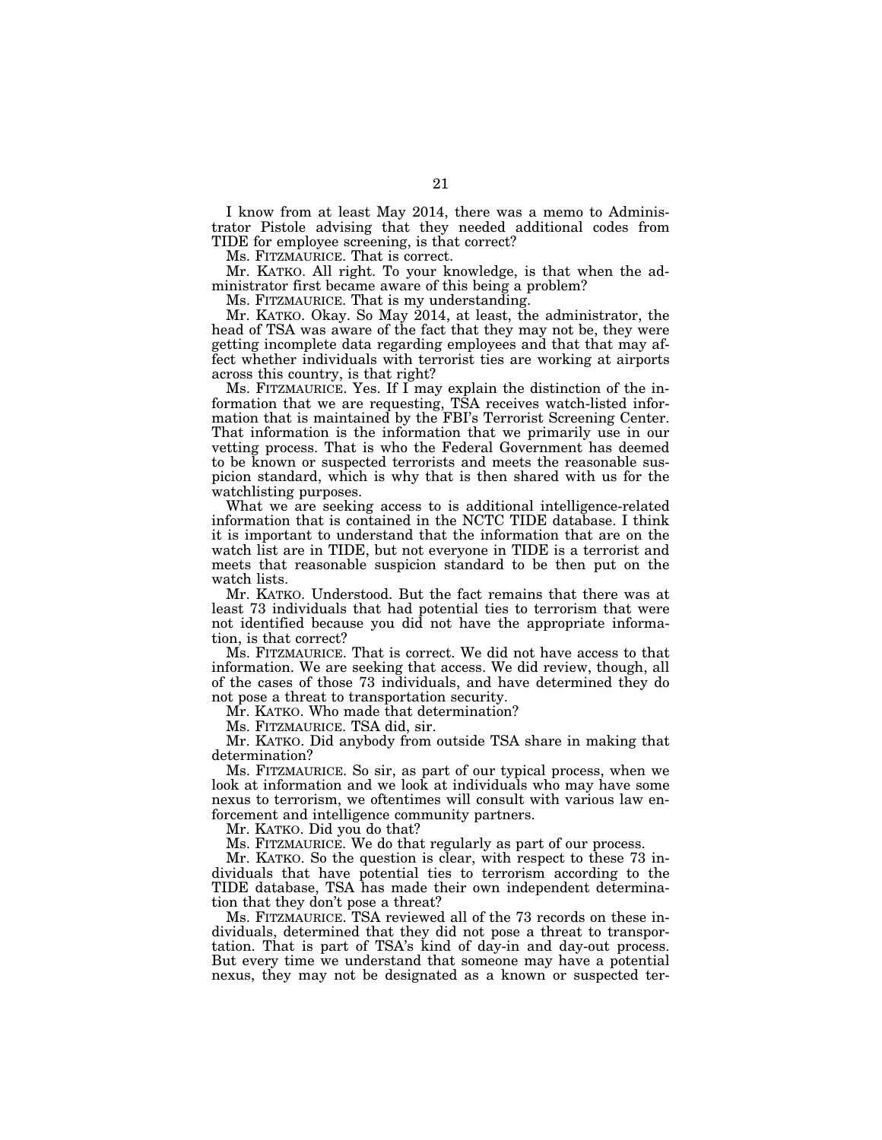I know from at least May 2014, there was a memo to Administrator Pistole advising that they needed additional codes from TIDE for employee screening, is that correct?

Ms. FITZMAURICE. That is correct.

Mr. KATKO. All right. To your knowledge, is that when the administrator first became aware of this being a problem?

Ms. FITZMAURICE. That is my understanding.

Mr. KATKO. Okay. So May 2014, at least, the administrator, the head of TSA was aware of the fact that they may not be, they were getting incomplete data regarding employees and that that may affect whether individuals with terrorist ties are working at airports across this country, is that right?

Ms. FITZMAURICE. Yes. If I may explain the distinction of the information that we are requesting, TSA receives watch-listed information that is maintained by the FBI's Terrorist Screening Center. That information is the information that we primarily use in our vetting process. That is who the Federal Government has deemed to be known or suspected terrorists and meets the reasonable suspicion standard, which is why that is then shared with us for the watchlisting purposes.

What we are seeking access to is additional intelligence-related information that is contained in the NCTC TIDE database. I think it is important to understand that the information that are on the watch list are in TIDE, but not everyone in TIDE is a terrorist and meets that reasonable suspicion standard to be then put on the watch lists.

Mr. KATKO. Understood. But the fact remains that there was at least 73 individuals that had potential ties to terrorism that were not identified because you did not have the appropriate information, is that correct?

Ms. FITZMAURICE. That is correct. We did not have access to that information. We are seeking that access. We did review, though, all of the cases of those 73 individuals, and have determined they do not pose a threat to transportation security.

Mr. KATKO. Who made that determination?

Ms. FITZMAURICE. TSA did, sir.

Mr. KATKO. Did anybody from outside TSA share in making that determination?

Ms. FITZMAURICE. So sir, as part of our typical process, when we look at information and we look at individuals who may have some nexus to terrorism, we oftentimes will consult with various law enforcement and intelligence community partners.

Mr. KATKO. Did you do that?

Ms. FITZMAURICE. We do that regularly as part of our process.

Mr. KATKO. So the question is clear, with respect to these 73 individuals that have potential ties to terrorism according to the TIDE database, TSA has made their own independent determination that they don't pose a threat?

Ms. FITZMAURICE. TSA reviewed all of the 73 records on these individuals, determined that they did not pose a threat to transportation. That is part of TSA's kind of day-in and day-out process. But every time we understand that someone may have a potential nexus, they may not be designated as a known or suspected ter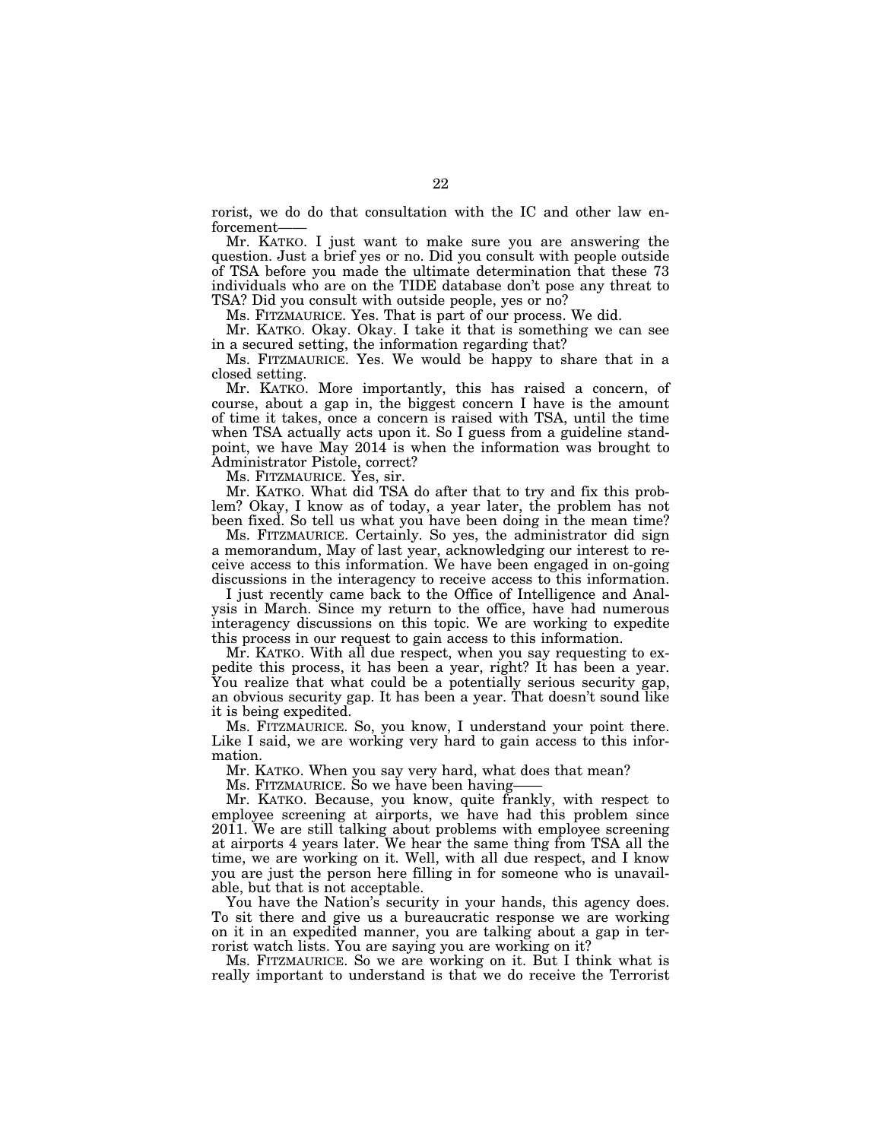rorist, we do do that consultation with the IC and other law enforcement-

Mr. KATKO. I just want to make sure you are answering the question. Just a brief yes or no. Did you consult with people outside of TSA before you made the ultimate determination that these 73 individuals who are on the TIDE database don't pose any threat to TSA? Did you consult with outside people, yes or no?

Ms. FITZMAURICE. Yes. That is part of our process. We did.

Mr. KATKO. Okay. Okay. I take it that is something we can see in a secured setting, the information regarding that?

Ms. FITZMAURICE. Yes. We would be happy to share that in a closed setting.

Mr. KATKO. More importantly, this has raised a concern, of course, about a gap in, the biggest concern I have is the amount of time it takes, once a concern is raised with TSA, until the time when TSA actually acts upon it. So I guess from a guideline standpoint, we have May 2014 is when the information was brought to Administrator Pistole, correct?

Ms. FITZMAURICE. Yes, sir.

Mr. KATKO. What did TSA do after that to try and fix this problem? Okay, I know as of today, a year later, the problem has not been fixed. So tell us what you have been doing in the mean time?

Ms. FITZMAURICE. Certainly. So yes, the administrator did sign a memorandum, May of last year, acknowledging our interest to receive access to this information. We have been engaged in on-going discussions in the interagency to receive access to this information.

I just recently came back to the Office of Intelligence and Analysis in March. Since my return to the office, have had numerous interagency discussions on this topic. We are working to expedite this process in our request to gain access to this information.

Mr. KATKO. With all due respect, when you say requesting to expedite this process, it has been a year, right? It has been a year. You realize that what could be a potentially serious security gap, an obvious security gap. It has been a year. That doesn't sound like it is being expedited.

Ms. FITZMAURICE. So, you know, I understand your point there. Like I said, we are working very hard to gain access to this information.

Mr. KATKO. When you say very hard, what does that mean?

Ms. FITZMAURICE. So we have been having——

Mr. KATKO. Because, you know, quite frankly, with respect to employee screening at airports, we have had this problem since 2011. We are still talking about problems with employee screening at airports 4 years later. We hear the same thing from TSA all the time, we are working on it. Well, with all due respect, and I know you are just the person here filling in for someone who is unavailable, but that is not acceptable.

You have the Nation's security in your hands, this agency does. To sit there and give us a bureaucratic response we are working on it in an expedited manner, you are talking about a gap in terrorist watch lists. You are saying you are working on it?

Ms. FITZMAURICE. So we are working on it. But I think what is really important to understand is that we do receive the Terrorist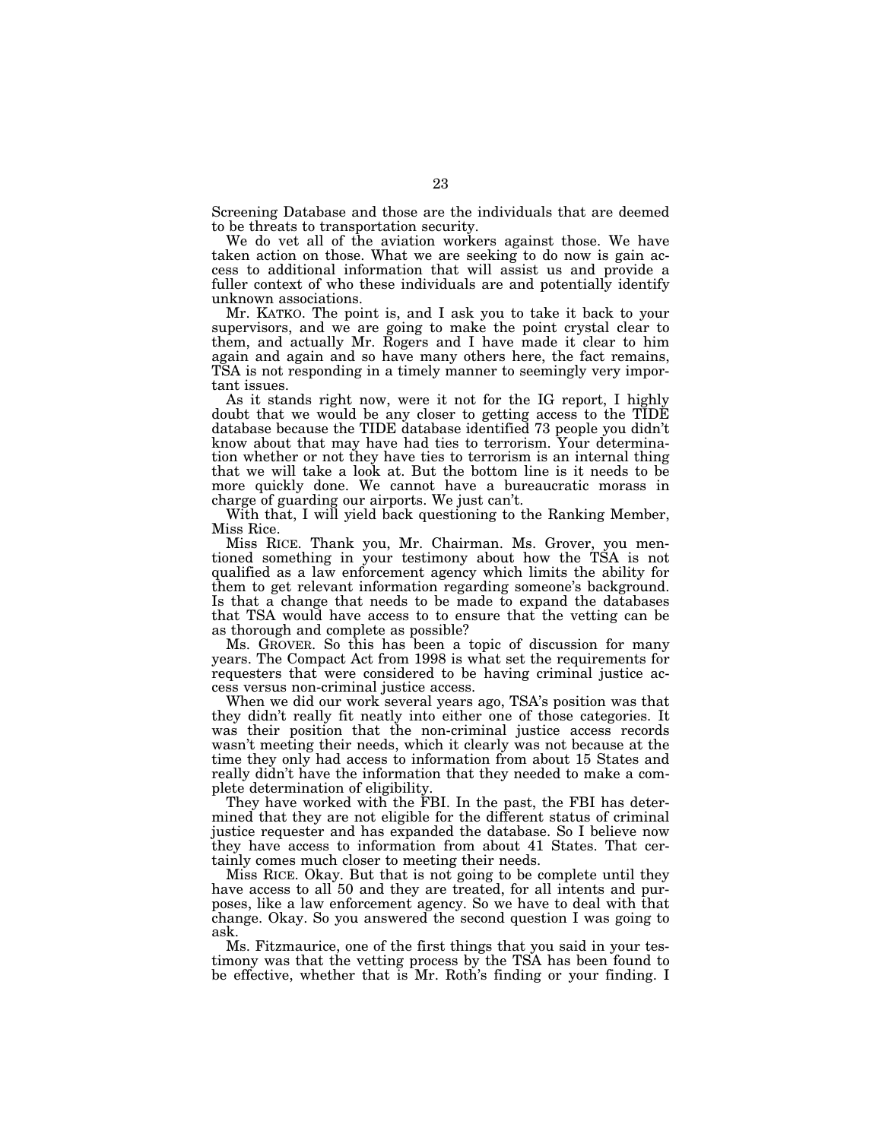Screening Database and those are the individuals that are deemed to be threats to transportation security.

We do vet all of the aviation workers against those. We have taken action on those. What we are seeking to do now is gain access to additional information that will assist us and provide a fuller context of who these individuals are and potentially identify unknown associations.

Mr. KATKO. The point is, and I ask you to take it back to your supervisors, and we are going to make the point crystal clear to them, and actually Mr. Rogers and I have made it clear to him again and again and so have many others here, the fact remains, TSA is not responding in a timely manner to seemingly very important issues.

As it stands right now, were it not for the IG report, I highly doubt that we would be any closer to getting access to the TIDE database because the TIDE database identified 73 people you didn't know about that may have had ties to terrorism. Your determination whether or not they have ties to terrorism is an internal thing that we will take a look at. But the bottom line is it needs to be more quickly done. We cannot have a bureaucratic morass in charge of guarding our airports. We just can't.

With that, I will yield back questioning to the Ranking Member, Miss Rice.

Miss RICE. Thank you, Mr. Chairman. Ms. Grover, you mentioned something in your testimony about how the TSA is not qualified as a law enforcement agency which limits the ability for them to get relevant information regarding someone's background. Is that a change that needs to be made to expand the databases that TSA would have access to to ensure that the vetting can be as thorough and complete as possible?

Ms. GROVER. So this has been a topic of discussion for many years. The Compact Act from 1998 is what set the requirements for requesters that were considered to be having criminal justice access versus non-criminal justice access.

When we did our work several years ago, TSA's position was that they didn't really fit neatly into either one of those categories. It was their position that the non-criminal justice access records wasn't meeting their needs, which it clearly was not because at the time they only had access to information from about 15 States and really didn't have the information that they needed to make a complete determination of eligibility.

They have worked with the FBI. In the past, the FBI has determined that they are not eligible for the different status of criminal justice requester and has expanded the database. So I believe now they have access to information from about 41 States. That certainly comes much closer to meeting their needs.

Miss RICE. Okay. But that is not going to be complete until they have access to all 50 and they are treated, for all intents and purposes, like a law enforcement agency. So we have to deal with that change. Okay. So you answered the second question I was going to ask.

Ms. Fitzmaurice, one of the first things that you said in your testimony was that the vetting process by the TSA has been found to be effective, whether that is Mr. Roth's finding or your finding. I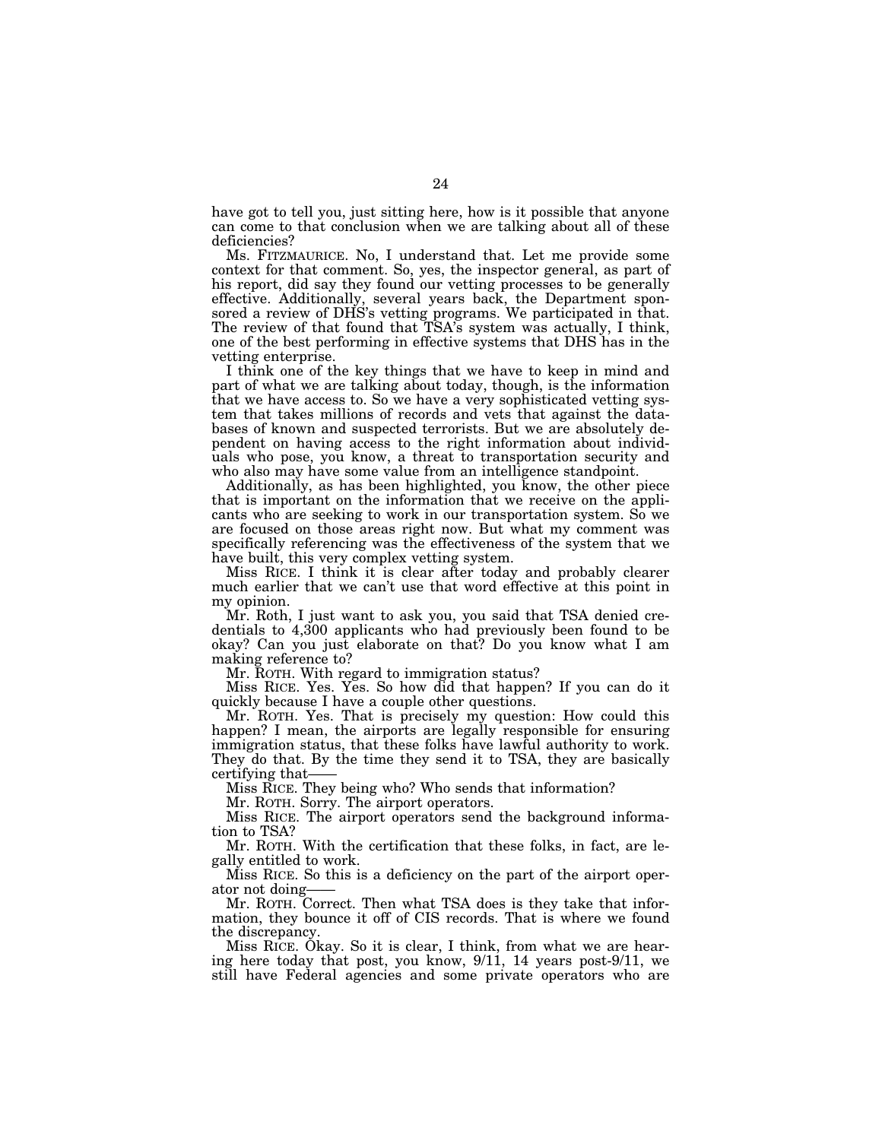have got to tell you, just sitting here, how is it possible that anyone can come to that conclusion when we are talking about all of these deficiencies?

Ms. FITZMAURICE. No, I understand that. Let me provide some context for that comment. So, yes, the inspector general, as part of his report, did say they found our vetting processes to be generally effective. Additionally, several years back, the Department sponsored a review of DHS's vetting programs. We participated in that. The review of that found that TSA's system was actually, I think, one of the best performing in effective systems that DHS has in the vetting enterprise.

I think one of the key things that we have to keep in mind and part of what we are talking about today, though, is the information that we have access to. So we have a very sophisticated vetting system that takes millions of records and vets that against the databases of known and suspected terrorists. But we are absolutely dependent on having access to the right information about individuals who pose, you know, a threat to transportation security and who also may have some value from an intelligence standpoint.

Additionally, as has been highlighted, you know, the other piece that is important on the information that we receive on the applicants who are seeking to work in our transportation system. So we are focused on those areas right now. But what my comment was specifically referencing was the effectiveness of the system that we have built, this very complex vetting system.

Miss RICE. I think it is clear after today and probably clearer much earlier that we can't use that word effective at this point in my opinion.

Mr. Roth, I just want to ask you, you said that TSA denied credentials to 4,300 applicants who had previously been found to be okay? Can you just elaborate on that? Do you know what I am making reference to?

Mr. ROTH. With regard to immigration status?

Miss RICE. Yes. Yes. So how did that happen? If you can do it quickly because I have a couple other questions.

Mr. ROTH. Yes. That is precisely my question: How could this happen? I mean, the airports are legally responsible for ensuring immigration status, that these folks have lawful authority to work. They do that. By the time they send it to TSA, they are basically certifying that——

Miss RICE. They being who? Who sends that information?

Mr. ROTH. Sorry. The airport operators.

Miss RICE. The airport operators send the background information to TSA?

Mr. ROTH. With the certification that these folks, in fact, are legally entitled to work.

Miss RICE. So this is a deficiency on the part of the airport operator not doing-

Mr. ROTH. Correct. Then what TSA does is they take that information, they bounce it off of CIS records. That is where we found the discrepancy.

Miss RICE. Okay. So it is clear, I think, from what we are hearing here today that post, you know, 9/11, 14 years post-9/11, we still have Federal agencies and some private operators who are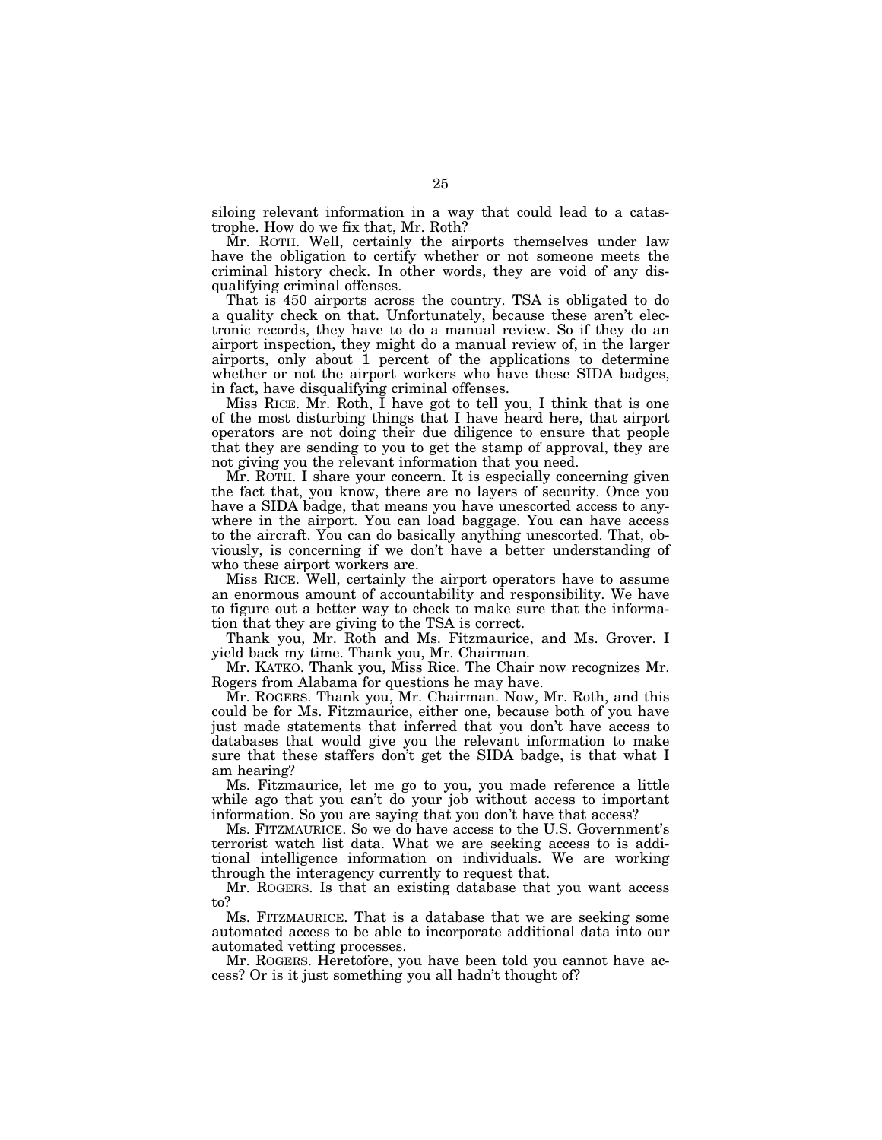siloing relevant information in a way that could lead to a catastrophe. How do we fix that, Mr. Roth?

Mr. ROTH. Well, certainly the airports themselves under law have the obligation to certify whether or not someone meets the criminal history check. In other words, they are void of any disqualifying criminal offenses.

That is 450 airports across the country. TSA is obligated to do a quality check on that. Unfortunately, because these aren't electronic records, they have to do a manual review. So if they do an airport inspection, they might do a manual review of, in the larger airports, only about 1 percent of the applications to determine whether or not the airport workers who have these SIDA badges, in fact, have disqualifying criminal offenses.

Miss RICE. Mr. Roth, I have got to tell you, I think that is one of the most disturbing things that I have heard here, that airport operators are not doing their due diligence to ensure that people that they are sending to you to get the stamp of approval, they are not giving you the relevant information that you need.

Mr. ROTH. I share your concern. It is especially concerning given the fact that, you know, there are no layers of security. Once you have a SIDA badge, that means you have unescorted access to anywhere in the airport. You can load baggage. You can have access to the aircraft. You can do basically anything unescorted. That, obviously, is concerning if we don't have a better understanding of who these airport workers are.

Miss RICE. Well, certainly the airport operators have to assume an enormous amount of accountability and responsibility. We have to figure out a better way to check to make sure that the information that they are giving to the TSA is correct.

Thank you, Mr. Roth and Ms. Fitzmaurice, and Ms. Grover. I yield back my time. Thank you, Mr. Chairman.

Mr. KATKO. Thank you, Miss Rice. The Chair now recognizes Mr. Rogers from Alabama for questions he may have.

Mr. ROGERS. Thank you, Mr. Chairman. Now, Mr. Roth, and this could be for Ms. Fitzmaurice, either one, because both of you have just made statements that inferred that you don't have access to databases that would give you the relevant information to make sure that these staffers don't get the SIDA badge, is that what I am hearing?

Ms. Fitzmaurice, let me go to you, you made reference a little while ago that you can't do your job without access to important information. So you are saying that you don't have that access?

Ms. FITZMAURICE. So we do have access to the U.S. Government's terrorist watch list data. What we are seeking access to is additional intelligence information on individuals. We are working through the interagency currently to request that.

Mr. ROGERS. Is that an existing database that you want access to?

Ms. FITZMAURICE. That is a database that we are seeking some automated access to be able to incorporate additional data into our automated vetting processes.

Mr. ROGERS. Heretofore, you have been told you cannot have access? Or is it just something you all hadn't thought of?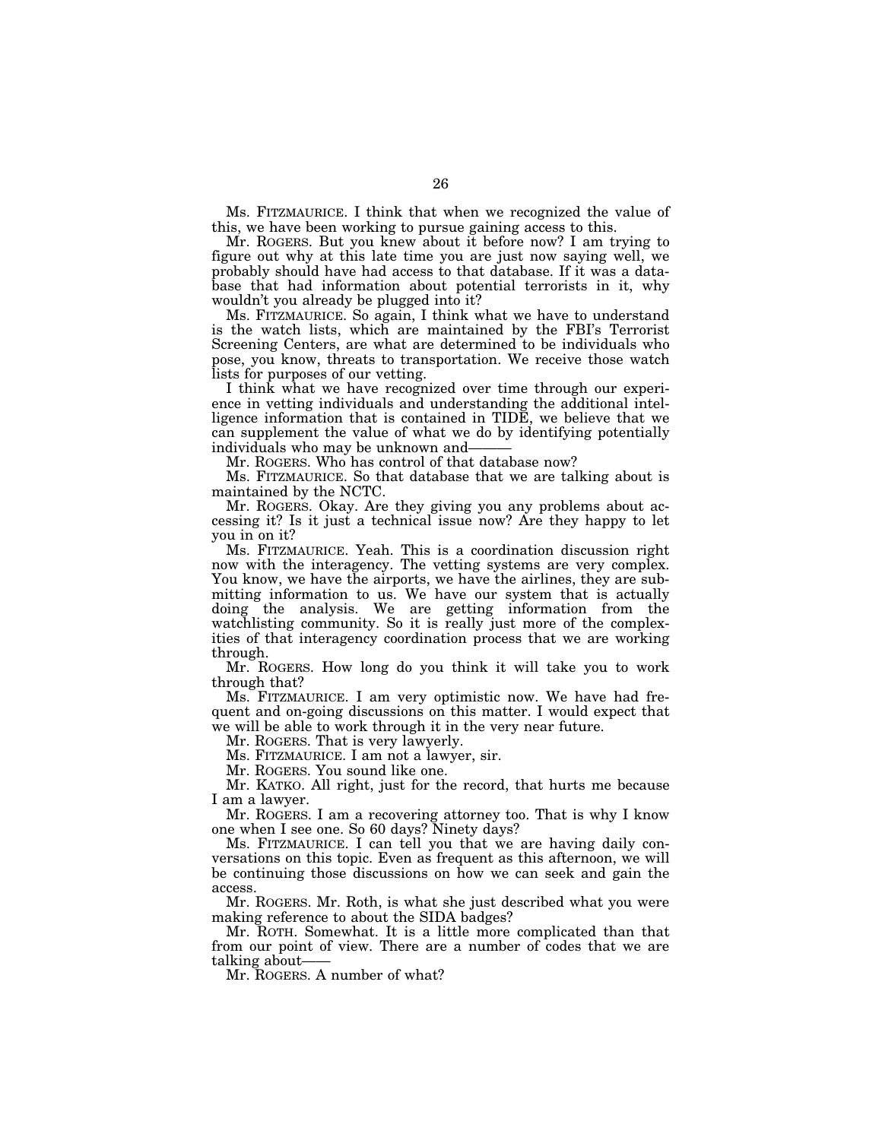Ms. FITZMAURICE. I think that when we recognized the value of this, we have been working to pursue gaining access to this.

Mr. ROGERS. But you knew about it before now? I am trying to figure out why at this late time you are just now saying well, we probably should have had access to that database. If it was a database that had information about potential terrorists in it, why wouldn't you already be plugged into it?

Ms. FITZMAURICE. So again, I think what we have to understand is the watch lists, which are maintained by the FBI's Terrorist Screening Centers, are what are determined to be individuals who pose, you know, threats to transportation. We receive those watch lists for purposes of our vetting.

I think what we have recognized over time through our experience in vetting individuals and understanding the additional intelligence information that is contained in TIDE, we believe that we can supplement the value of what we do by identifying potentially individuals who may be unknown and-

Mr. ROGERS. Who has control of that database now?

Ms. FITZMAURICE. So that database that we are talking about is maintained by the NCTC.

Mr. ROGERS. Okay. Are they giving you any problems about accessing it? Is it just a technical issue now? Are they happy to let you in on it?

Ms. FITZMAURICE. Yeah. This is a coordination discussion right now with the interagency. The vetting systems are very complex. You know, we have the airports, we have the airlines, they are submitting information to us. We have our system that is actually doing the analysis. We are getting information from the watchlisting community. So it is really just more of the complexities of that interagency coordination process that we are working through.

Mr. ROGERS. How long do you think it will take you to work through that?

Ms. FITZMAURICE. I am very optimistic now. We have had frequent and on-going discussions on this matter. I would expect that we will be able to work through it in the very near future.

Mr. ROGERS. That is very lawyerly.

Ms. FITZMAURICE. I am not a lawyer, sir.

Mr. ROGERS. You sound like one.

Mr. KATKO. All right, just for the record, that hurts me because I am a lawyer.

Mr. ROGERS. I am a recovering attorney too. That is why I know one when I see one. So 60 days? Ninety days?

Ms. FITZMAURICE. I can tell you that we are having daily conversations on this topic. Even as frequent as this afternoon, we will be continuing those discussions on how we can seek and gain the access.

Mr. ROGERS. Mr. Roth, is what she just described what you were making reference to about the SIDA badges?

Mr. ROTH. Somewhat. It is a little more complicated than that from our point of view. There are a number of codes that we are talking about-

Mr. ROGERS. A number of what?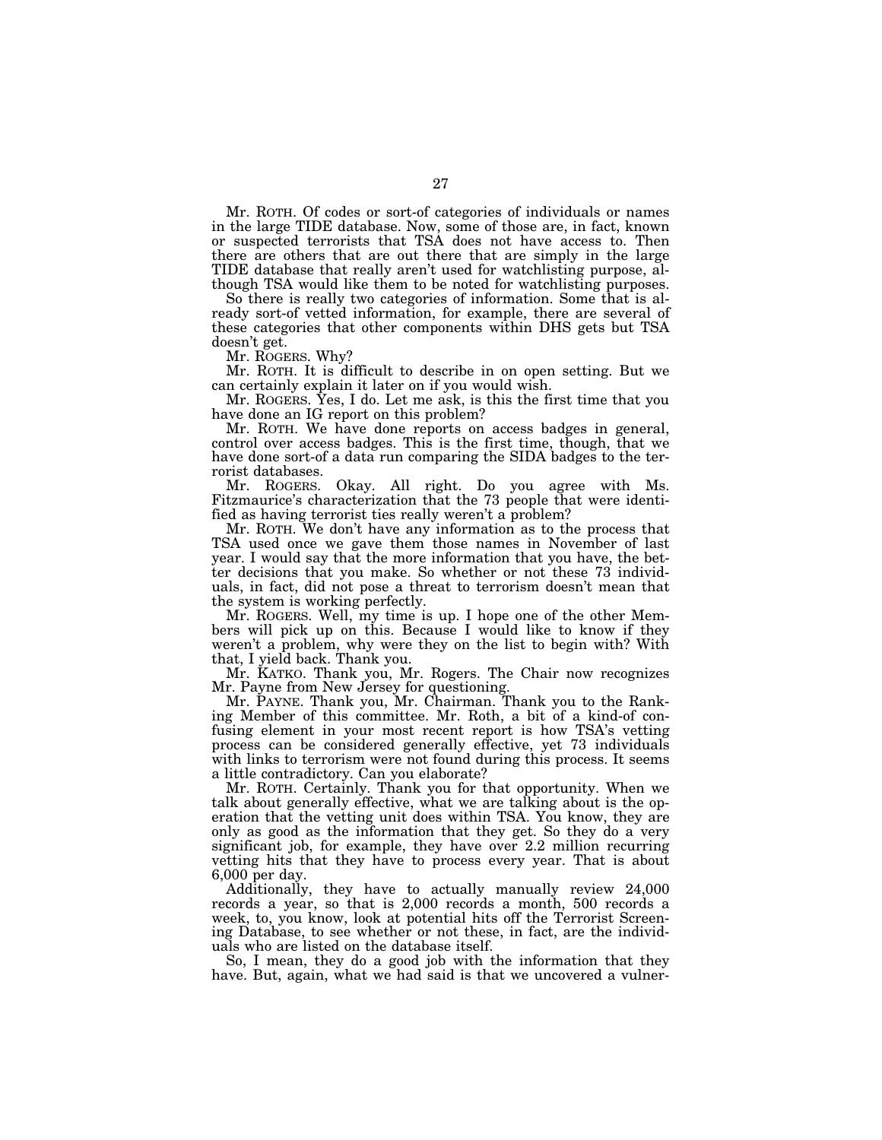Mr. ROTH. Of codes or sort-of categories of individuals or names in the large TIDE database. Now, some of those are, in fact, known or suspected terrorists that TSA does not have access to. Then there are others that are out there that are simply in the large TIDE database that really aren't used for watchlisting purpose, although TSA would like them to be noted for watchlisting purposes.

So there is really two categories of information. Some that is already sort-of vetted information, for example, there are several of these categories that other components within DHS gets but TSA doesn't get.

Mr. ROGERS. Why?

Mr. ROTH. It is difficult to describe in on open setting. But we can certainly explain it later on if you would wish.

Mr. ROGERS. Yes, I do. Let me ask, is this the first time that you have done an IG report on this problem?

Mr. ROTH. We have done reports on access badges in general, control over access badges. This is the first time, though, that we have done sort-of a data run comparing the SIDA badges to the terrorist databases.

Mr. ROGERS. Okay. All right. Do you agree with Ms. Fitzmaurice's characterization that the 73 people that were identified as having terrorist ties really weren't a problem?

Mr. ROTH. We don't have any information as to the process that TSA used once we gave them those names in November of last year. I would say that the more information that you have, the better decisions that you make. So whether or not these 73 individuals, in fact, did not pose a threat to terrorism doesn't mean that the system is working perfectly.

Mr. ROGERS. Well, my time is up. I hope one of the other Members will pick up on this. Because I would like to know if they weren't a problem, why were they on the list to begin with? With that, I yield back. Thank you.

Mr. KATKO. Thank you, Mr. Rogers. The Chair now recognizes Mr. Payne from New Jersey for questioning.

Mr. PAYNE. Thank you, Mr. Chairman. Thank you to the Ranking Member of this committee. Mr. Roth, a bit of a kind-of confusing element in your most recent report is how TSA's vetting process can be considered generally effective, yet 73 individuals with links to terrorism were not found during this process. It seems a little contradictory. Can you elaborate?

Mr. ROTH. Certainly. Thank you for that opportunity. When we talk about generally effective, what we are talking about is the operation that the vetting unit does within TSA. You know, they are only as good as the information that they get. So they do a very significant job, for example, they have over 2.2 million recurring vetting hits that they have to process every year. That is about 6,000 per day.

Additionally, they have to actually manually review 24,000 records a year, so that is 2,000 records a month, 500 records a week, to, you know, look at potential hits off the Terrorist Screening Database, to see whether or not these, in fact, are the individuals who are listed on the database itself.

So, I mean, they do a good job with the information that they have. But, again, what we had said is that we uncovered a vulner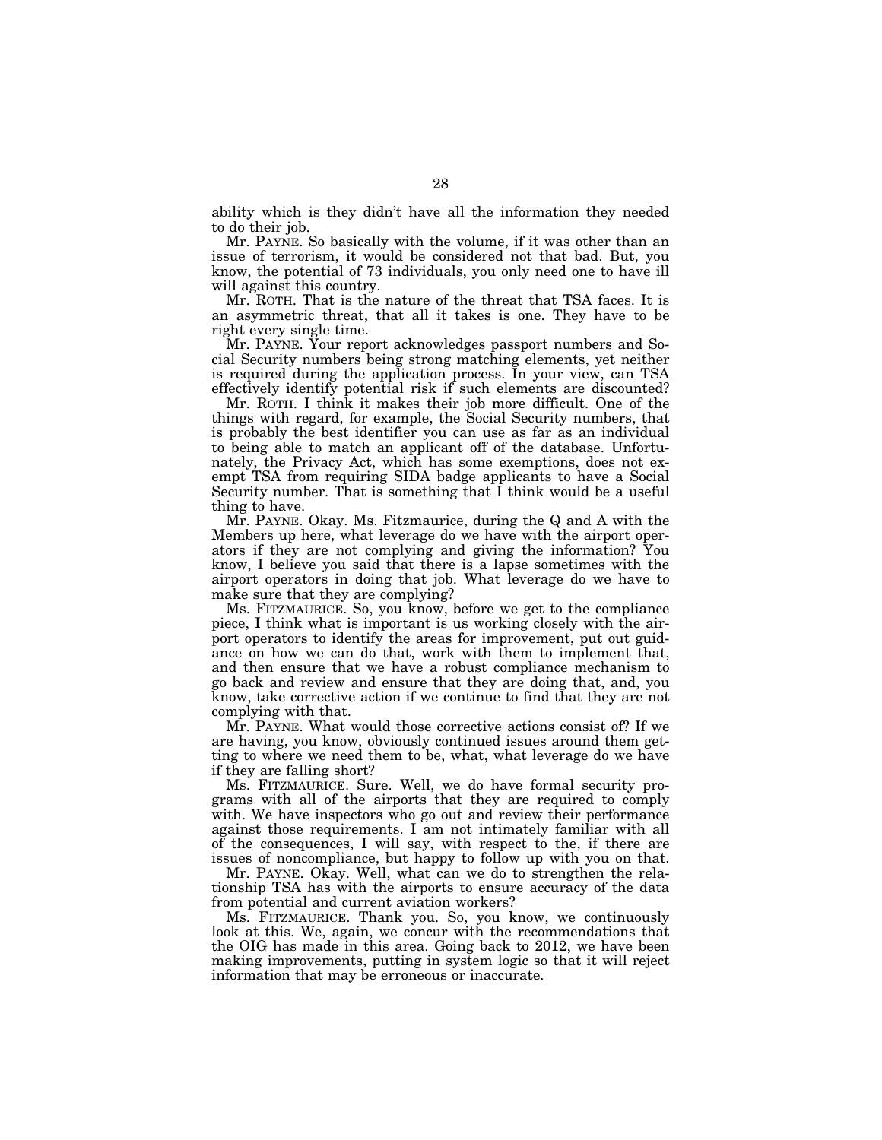ability which is they didn't have all the information they needed to do their job.

Mr. PAYNE. So basically with the volume, if it was other than an issue of terrorism, it would be considered not that bad. But, you know, the potential of 73 individuals, you only need one to have ill will against this country.

Mr. ROTH. That is the nature of the threat that TSA faces. It is an asymmetric threat, that all it takes is one. They have to be right every single time.

Mr. PAYNE. Your report acknowledges passport numbers and Social Security numbers being strong matching elements, yet neither is required during the application process. In your view, can TSA effectively identify potential risk if such elements are discounted?

Mr. ROTH. I think it makes their job more difficult. One of the things with regard, for example, the Social Security numbers, that is probably the best identifier you can use as far as an individual to being able to match an applicant off of the database. Unfortunately, the Privacy Act, which has some exemptions, does not exempt TSA from requiring SIDA badge applicants to have a Social Security number. That is something that I think would be a useful thing to have.

Mr. PAYNE. Okay. Ms. Fitzmaurice, during the Q and A with the Members up here, what leverage do we have with the airport operators if they are not complying and giving the information? You know, I believe you said that there is a lapse sometimes with the airport operators in doing that job. What leverage do we have to make sure that they are complying?

Ms. FITZMAURICE. So, you know, before we get to the compliance piece, I think what is important is us working closely with the airport operators to identify the areas for improvement, put out guidance on how we can do that, work with them to implement that, and then ensure that we have a robust compliance mechanism to go back and review and ensure that they are doing that, and, you know, take corrective action if we continue to find that they are not complying with that.

Mr. PAYNE. What would those corrective actions consist of? If we are having, you know, obviously continued issues around them getting to where we need them to be, what, what leverage do we have if they are falling short?

Ms. FITZMAURICE. Sure. Well, we do have formal security programs with all of the airports that they are required to comply with. We have inspectors who go out and review their performance against those requirements. I am not intimately familiar with all of the consequences, I will say, with respect to the, if there are issues of noncompliance, but happy to follow up with you on that.

Mr. PAYNE. Okay. Well, what can we do to strengthen the relationship TSA has with the airports to ensure accuracy of the data from potential and current aviation workers?

Ms. FITZMAURICE. Thank you. So, you know, we continuously look at this. We, again, we concur with the recommendations that the OIG has made in this area. Going back to 2012, we have been making improvements, putting in system logic so that it will reject information that may be erroneous or inaccurate.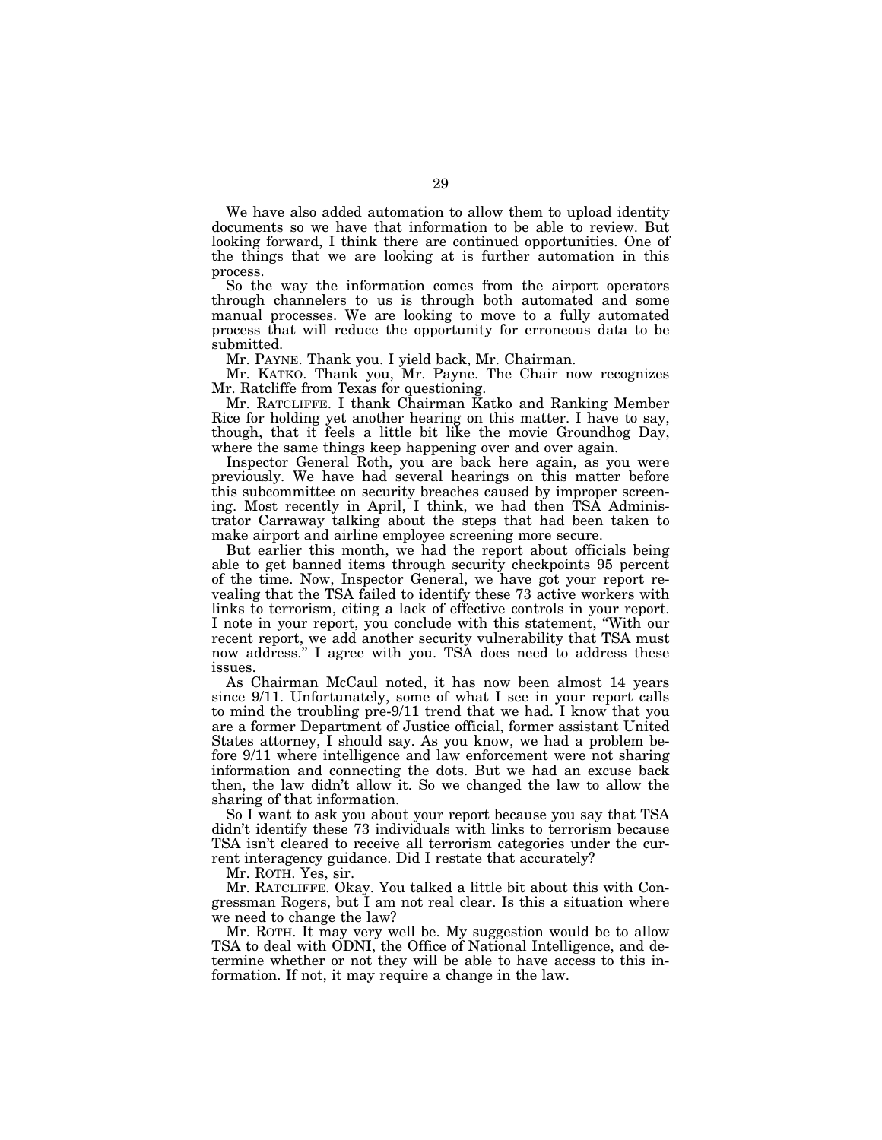We have also added automation to allow them to upload identity documents so we have that information to be able to review. But looking forward, I think there are continued opportunities. One of the things that we are looking at is further automation in this process.

So the way the information comes from the airport operators through channelers to us is through both automated and some manual processes. We are looking to move to a fully automated process that will reduce the opportunity for erroneous data to be submitted.

Mr. PAYNE. Thank you. I yield back, Mr. Chairman.

Mr. KATKO. Thank you, Mr. Payne. The Chair now recognizes Mr. Ratcliffe from Texas for questioning.

Mr. RATCLIFFE. I thank Chairman Katko and Ranking Member Rice for holding yet another hearing on this matter. I have to say, though, that it feels a little bit like the movie Groundhog Day, where the same things keep happening over and over again.

Inspector General Roth, you are back here again, as you were previously. We have had several hearings on this matter before this subcommittee on security breaches caused by improper screening. Most recently in April, I think, we had then TSA Administrator Carraway talking about the steps that had been taken to make airport and airline employee screening more secure.

But earlier this month, we had the report about officials being able to get banned items through security checkpoints 95 percent of the time. Now, Inspector General, we have got your report revealing that the TSA failed to identify these 73 active workers with links to terrorism, citing a lack of effective controls in your report. I note in your report, you conclude with this statement, ''With our recent report, we add another security vulnerability that TSA must now address.'' I agree with you. TSA does need to address these issues.

As Chairman McCaul noted, it has now been almost 14 years since 9/11. Unfortunately, some of what I see in your report calls to mind the troubling pre-9/11 trend that we had. I know that you are a former Department of Justice official, former assistant United States attorney, I should say. As you know, we had a problem before 9/11 where intelligence and law enforcement were not sharing information and connecting the dots. But we had an excuse back then, the law didn't allow it. So we changed the law to allow the sharing of that information.

So I want to ask you about your report because you say that TSA didn't identify these 73 individuals with links to terrorism because TSA isn't cleared to receive all terrorism categories under the current interagency guidance. Did I restate that accurately?

Mr. ROTH. Yes, sir.

Mr. RATCLIFFE. Okay. You talked a little bit about this with Congressman Rogers, but I am not real clear. Is this a situation where we need to change the law?

Mr. ROTH. It may very well be. My suggestion would be to allow TSA to deal with ODNI, the Office of National Intelligence, and determine whether or not they will be able to have access to this information. If not, it may require a change in the law.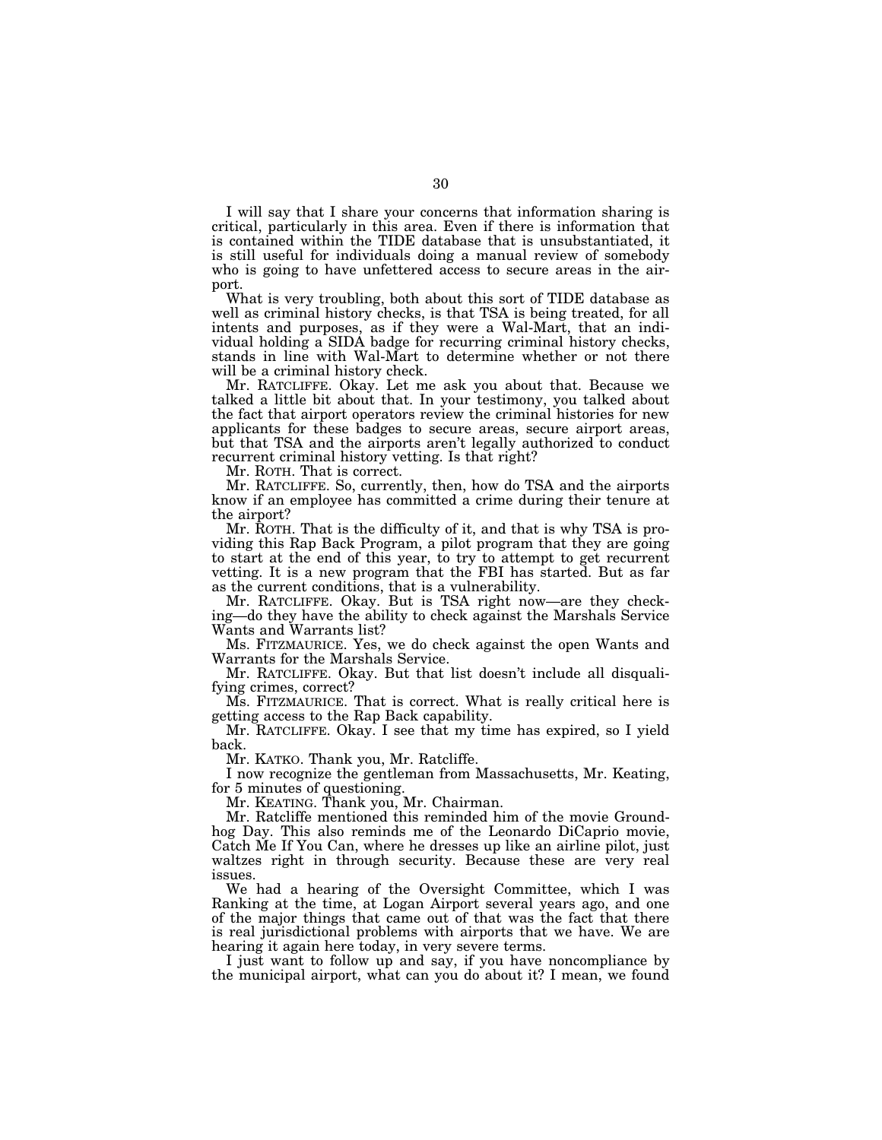I will say that I share your concerns that information sharing is critical, particularly in this area. Even if there is information that is contained within the TIDE database that is unsubstantiated, it is still useful for individuals doing a manual review of somebody who is going to have unfettered access to secure areas in the airport.

What is very troubling, both about this sort of TIDE database as well as criminal history checks, is that TSA is being treated, for all intents and purposes, as if they were a Wal-Mart, that an individual holding a SIDA badge for recurring criminal history checks, stands in line with Wal-Mart to determine whether or not there will be a criminal history check.

Mr. RATCLIFFE. Okay. Let me ask you about that. Because we talked a little bit about that. In your testimony, you talked about the fact that airport operators review the criminal histories for new applicants for these badges to secure areas, secure airport areas, but that TSA and the airports aren't legally authorized to conduct recurrent criminal history vetting. Is that right?

Mr. ROTH. That is correct.

Mr. RATCLIFFE. So, currently, then, how do TSA and the airports know if an employee has committed a crime during their tenure at the airport?

Mr. ROTH. That is the difficulty of it, and that is why TSA is providing this Rap Back Program, a pilot program that they are going to start at the end of this year, to try to attempt to get recurrent vetting. It is a new program that the FBI has started. But as far as the current conditions, that is a vulnerability.

Mr. RATCLIFFE. Okay. But is TSA right now—are they checking—do they have the ability to check against the Marshals Service Wants and Warrants list?

Ms. FITZMAURICE. Yes, we do check against the open Wants and Warrants for the Marshals Service.

Mr. RATCLIFFE. Okay. But that list doesn't include all disqualifying crimes, correct?

Ms. FITZMAURICE. That is correct. What is really critical here is getting access to the Rap Back capability.

Mr. RATCLIFFE. Okay. I see that my time has expired, so I yield back.

Mr. KATKO. Thank you, Mr. Ratcliffe.

I now recognize the gentleman from Massachusetts, Mr. Keating, for 5 minutes of questioning.

Mr. KEATING. Thank you, Mr. Chairman.

Mr. Ratcliffe mentioned this reminded him of the movie Groundhog Day. This also reminds me of the Leonardo DiCaprio movie, Catch Me If You Can, where he dresses up like an airline pilot, just waltzes right in through security. Because these are very real issues.

We had a hearing of the Oversight Committee, which I was Ranking at the time, at Logan Airport several years ago, and one of the major things that came out of that was the fact that there is real jurisdictional problems with airports that we have. We are hearing it again here today, in very severe terms.

I just want to follow up and say, if you have noncompliance by the municipal airport, what can you do about it? I mean, we found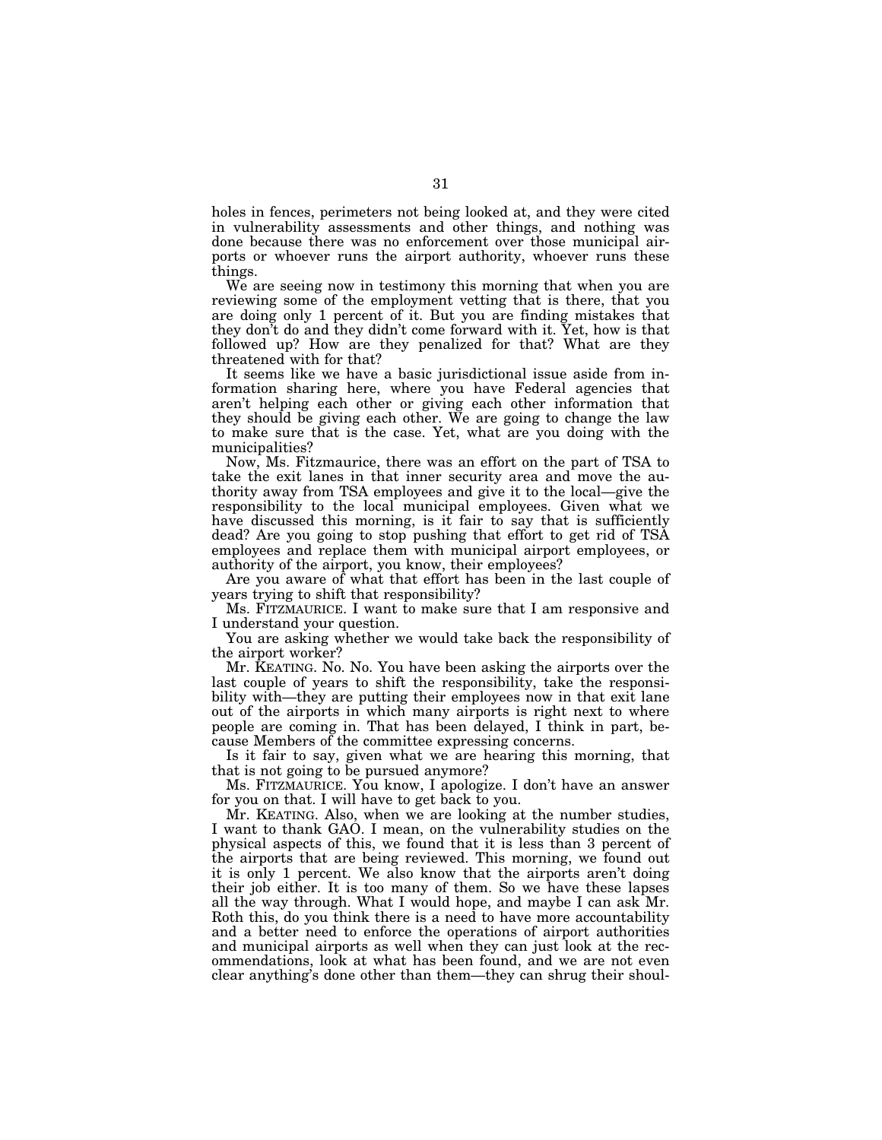holes in fences, perimeters not being looked at, and they were cited in vulnerability assessments and other things, and nothing was done because there was no enforcement over those municipal airports or whoever runs the airport authority, whoever runs these things.

We are seeing now in testimony this morning that when you are reviewing some of the employment vetting that is there, that you are doing only 1 percent of it. But you are finding mistakes that they don't do and they didn't come forward with it. Yet, how is that followed up? How are they penalized for that? What are they threatened with for that?

It seems like we have a basic jurisdictional issue aside from information sharing here, where you have Federal agencies that aren't helping each other or giving each other information that they should be giving each other. We are going to change the law to make sure that is the case. Yet, what are you doing with the municipalities?

Now, Ms. Fitzmaurice, there was an effort on the part of TSA to take the exit lanes in that inner security area and move the authority away from TSA employees and give it to the local—give the responsibility to the local municipal employees. Given what we have discussed this morning, is it fair to say that is sufficiently dead? Are you going to stop pushing that effort to get rid of TSA employees and replace them with municipal airport employees, or authority of the airport, you know, their employees?

Are you aware of what that effort has been in the last couple of years trying to shift that responsibility?

Ms. FITZMAURICE. I want to make sure that I am responsive and I understand your question.

You are asking whether we would take back the responsibility of the airport worker?

Mr. KEATING. No. No. You have been asking the airports over the last couple of years to shift the responsibility, take the responsibility with—they are putting their employees now in that exit lane out of the airports in which many airports is right next to where people are coming in. That has been delayed, I think in part, because Members of the committee expressing concerns.

Is it fair to say, given what we are hearing this morning, that that is not going to be pursued anymore?

Ms. FITZMAURICE. You know, I apologize. I don't have an answer for you on that. I will have to get back to you.

Mr. KEATING. Also, when we are looking at the number studies, I want to thank GAO. I mean, on the vulnerability studies on the physical aspects of this, we found that it is less than 3 percent of the airports that are being reviewed. This morning, we found out it is only 1 percent. We also know that the airports aren't doing their job either. It is too many of them. So we have these lapses all the way through. What I would hope, and maybe I can ask Mr. Roth this, do you think there is a need to have more accountability and a better need to enforce the operations of airport authorities and municipal airports as well when they can just look at the recommendations, look at what has been found, and we are not even clear anything's done other than them—they can shrug their shoul-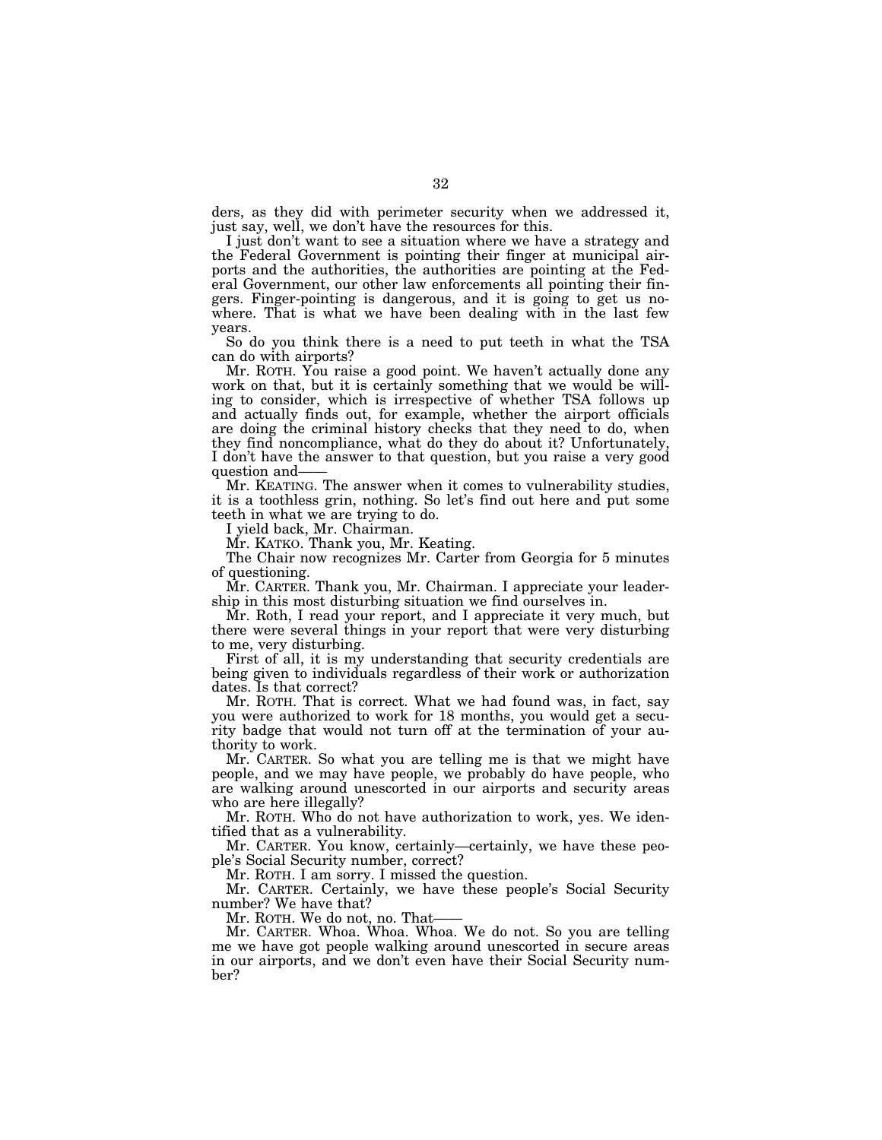ders, as they did with perimeter security when we addressed it, just say, well, we don't have the resources for this.

I just don't want to see a situation where we have a strategy and the Federal Government is pointing their finger at municipal airports and the authorities, the authorities are pointing at the Federal Government, our other law enforcements all pointing their fingers. Finger-pointing is dangerous, and it is going to get us nowhere. That is what we have been dealing with in the last few years.

So do you think there is a need to put teeth in what the TSA can do with airports?

Mr. ROTH. You raise a good point. We haven't actually done any work on that, but it is certainly something that we would be willing to consider, which is irrespective of whether TSA follows up and actually finds out, for example, whether the airport officials are doing the criminal history checks that they need to do, when they find noncompliance, what do they do about it? Unfortunately, I don't have the answer to that question, but you raise a very good question and——

Mr. KEATING. The answer when it comes to vulnerability studies, it is a toothless grin, nothing. So let's find out here and put some teeth in what we are trying to do.

I yield back, Mr. Chairman.

Mr. KATKO. Thank you, Mr. Keating.

The Chair now recognizes Mr. Carter from Georgia for 5 minutes of questioning.

Mr. CARTER. Thank you, Mr. Chairman. I appreciate your leadership in this most disturbing situation we find ourselves in.

Mr. Roth, I read your report, and I appreciate it very much, but there were several things in your report that were very disturbing to me, very disturbing.

First of all, it is my understanding that security credentials are being given to individuals regardless of their work or authorization dates. Is that correct?

Mr. ROTH. That is correct. What we had found was, in fact, say you were authorized to work for 18 months, you would get a security badge that would not turn off at the termination of your authority to work.

Mr. CARTER. So what you are telling me is that we might have people, and we may have people, we probably do have people, who are walking around unescorted in our airports and security areas who are here illegally?

Mr. ROTH. Who do not have authorization to work, yes. We identified that as a vulnerability.

Mr. CARTER. You know, certainly—certainly, we have these people's Social Security number, correct?

Mr. ROTH. I am sorry. I missed the question.

Mr. CARTER. Certainly, we have these people's Social Security number? We have that?

Mr. ROTH. We do not, no. That——

Mr. CARTER. Whoa. Whoa. Whoa. We do not. So you are telling me we have got people walking around unescorted in secure areas in our airports, and we don't even have their Social Security number?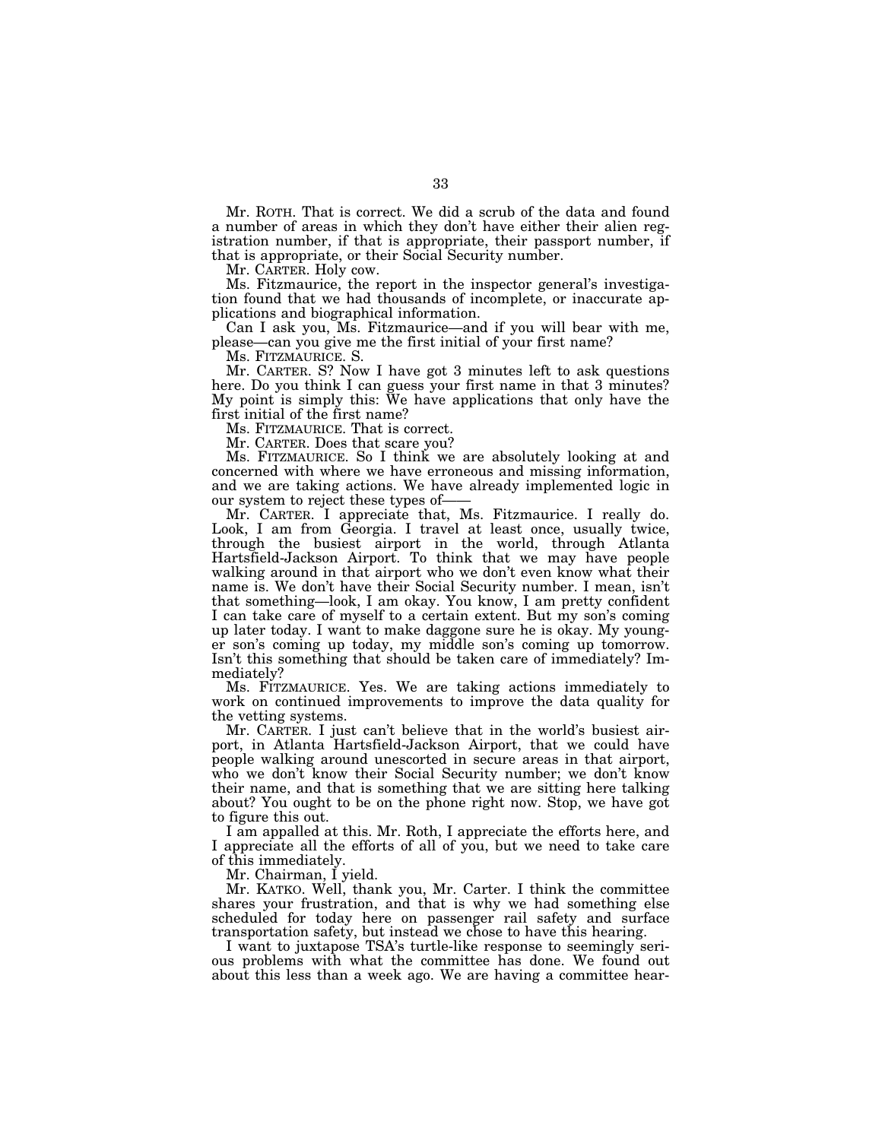Mr. ROTH. That is correct. We did a scrub of the data and found a number of areas in which they don't have either their alien registration number, if that is appropriate, their passport number, if that is appropriate, or their Social Security number.

Mr. CARTER. Holy cow.

Ms. Fitzmaurice, the report in the inspector general's investigation found that we had thousands of incomplete, or inaccurate applications and biographical information.

Can I ask you, Ms. Fitzmaurice—and if you will bear with me, please—can you give me the first initial of your first name?

Ms. FITZMAURICE. S.

Mr. CARTER. S? Now I have got 3 minutes left to ask questions here. Do you think I can guess your first name in that 3 minutes? My point is simply this: We have applications that only have the first initial of the first name?

Ms. FITZMAURICE. That is correct.

Mr. CARTER. Does that scare you?

Ms. FITZMAURICE. So I think we are absolutely looking at and concerned with where we have erroneous and missing information, and we are taking actions. We have already implemented logic in our system to reject these types of-

Mr. CARTER. I appreciate that, Ms. Fitzmaurice. I really do. Look, I am from Georgia. I travel at least once, usually twice, through the busiest airport in the world, through Atlanta Hartsfield-Jackson Airport. To think that we may have people walking around in that airport who we don't even know what their name is. We don't have their Social Security number. I mean, isn't that something—look, I am okay. You know, I am pretty confident I can take care of myself to a certain extent. But my son's coming up later today. I want to make daggone sure he is okay. My younger son's coming up today, my middle son's coming up tomorrow. Isn't this something that should be taken care of immediately? Immediately?

Ms. FITZMAURICE. Yes. We are taking actions immediately to work on continued improvements to improve the data quality for the vetting systems.

Mr. CARTER. I just can't believe that in the world's busiest airport, in Atlanta Hartsfield-Jackson Airport, that we could have people walking around unescorted in secure areas in that airport, who we don't know their Social Security number; we don't know their name, and that is something that we are sitting here talking about? You ought to be on the phone right now. Stop, we have got to figure this out.

I am appalled at this. Mr. Roth, I appreciate the efforts here, and I appreciate all the efforts of all of you, but we need to take care of this immediately.

Mr. Chairman, I yield.

Mr. KATKO. Well, thank you, Mr. Carter. I think the committee shares your frustration, and that is why we had something else scheduled for today here on passenger rail safety and surface transportation safety, but instead we chose to have this hearing.

I want to juxtapose TSA's turtle-like response to seemingly serious problems with what the committee has done. We found out about this less than a week ago. We are having a committee hear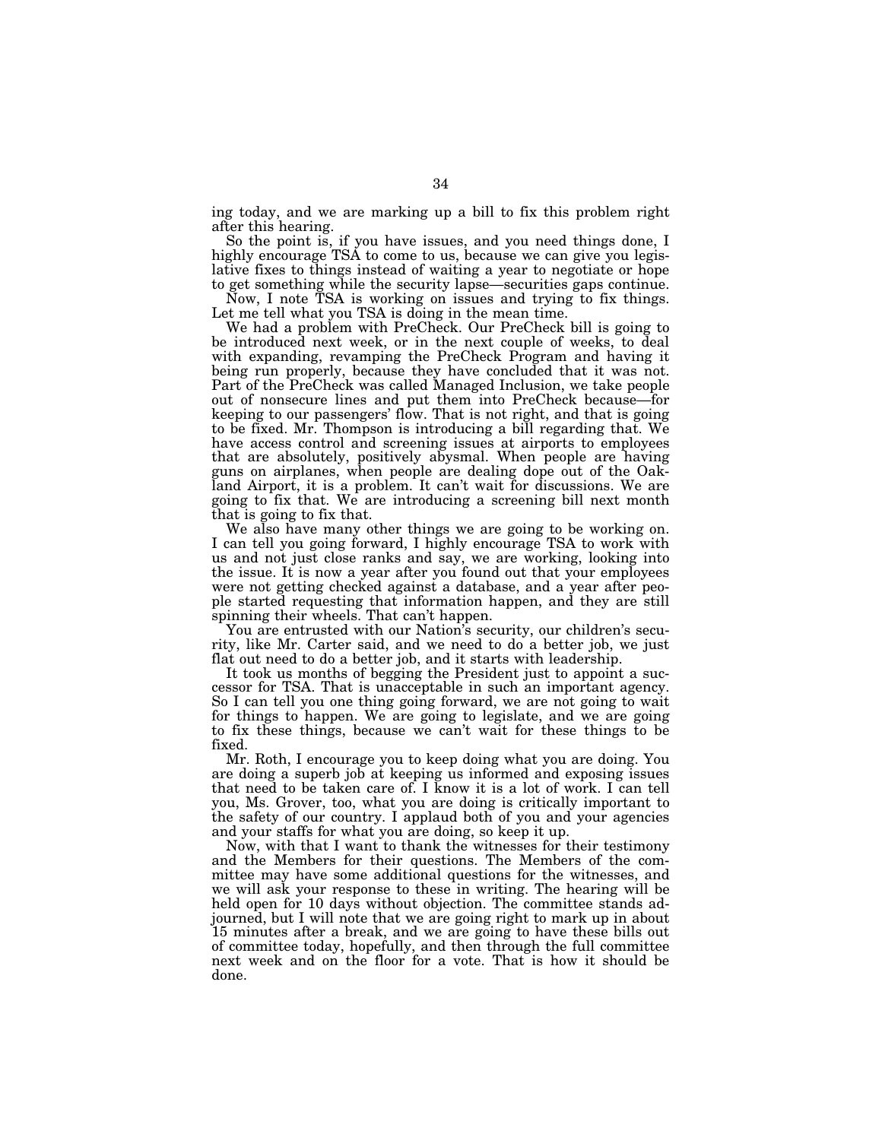ing today, and we are marking up a bill to fix this problem right after this hearing.

So the point is, if you have issues, and you need things done, I highly encourage TSA to come to us, because we can give you legislative fixes to things instead of waiting a year to negotiate or hope to get something while the security lapse—securities gaps continue.

Now, I note TSA is working on issues and trying to fix things. Let me tell what you TSA is doing in the mean time.

We had a problem with PreCheck. Our PreCheck bill is going to be introduced next week, or in the next couple of weeks, to deal with expanding, revamping the PreCheck Program and having it being run properly, because they have concluded that it was not. Part of the PreCheck was called Managed Inclusion, we take people out of nonsecure lines and put them into PreCheck because—for keeping to our passengers' flow. That is not right, and that is going to be fixed. Mr. Thompson is introducing a bill regarding that. We have access control and screening issues at airports to employees that are absolutely, positively abysmal. When people are having guns on airplanes, when people are dealing dope out of the Oakland Airport, it is a problem. It can't wait for discussions. We are going to fix that. We are introducing a screening bill next month that is going to fix that.

We also have many other things we are going to be working on. I can tell you going forward, I highly encourage TSA to work with us and not just close ranks and say, we are working, looking into the issue. It is now a year after you found out that your employees were not getting checked against a database, and a year after people started requesting that information happen, and they are still spinning their wheels. That can't happen.

You are entrusted with our Nation's security, our children's security, like Mr. Carter said, and we need to do a better job, we just flat out need to do a better job, and it starts with leadership.

It took us months of begging the President just to appoint a successor for TSA. That is unacceptable in such an important agency. So I can tell you one thing going forward, we are not going to wait for things to happen. We are going to legislate, and we are going to fix these things, because we can't wait for these things to be fixed.

Mr. Roth, I encourage you to keep doing what you are doing. You are doing a superb job at keeping us informed and exposing issues that need to be taken care of. I know it is a lot of work. I can tell you, Ms. Grover, too, what you are doing is critically important to the safety of our country. I applaud both of you and your agencies and your staffs for what you are doing, so keep it up.

Now, with that I want to thank the witnesses for their testimony and the Members for their questions. The Members of the committee may have some additional questions for the witnesses, and we will ask your response to these in writing. The hearing will be held open for 10 days without objection. The committee stands adjourned, but I will note that we are going right to mark up in about 15 minutes after a break, and we are going to have these bills out of committee today, hopefully, and then through the full committee next week and on the floor for a vote. That is how it should be done.